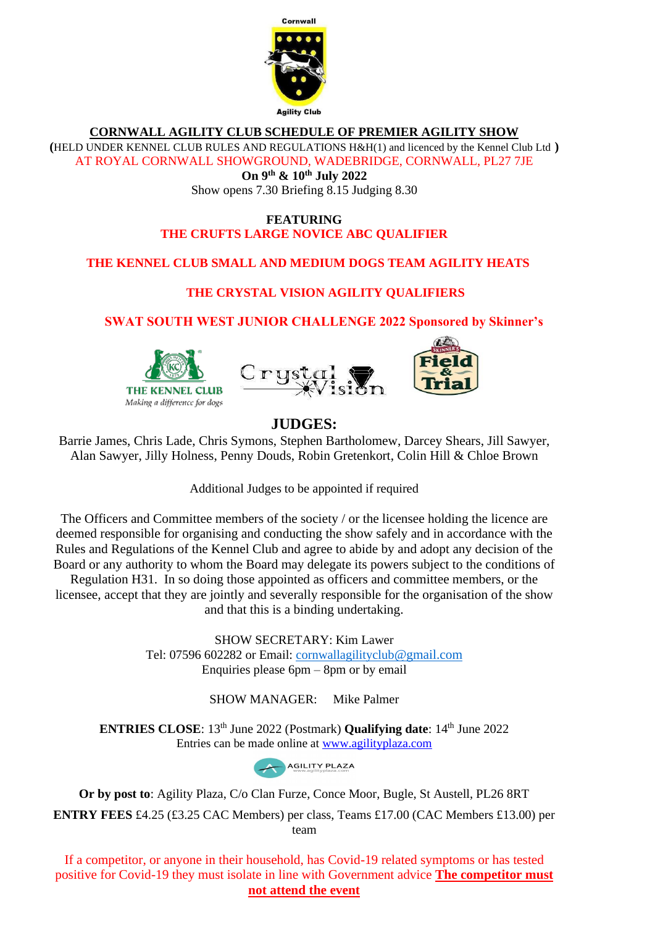

### **CORNWALL AGILITY CLUB SCHEDULE OF PREMIER AGILITY SHOW**

**(**HELD UNDER KENNEL CLUB RULES AND REGULATIONS H&H(1) and licenced by the Kennel Club Ltd **)** 

AT ROYAL CORNWALL SHOWGROUND, WADEBRIDGE, CORNWALL, PL27 7JE

### **On 9 th & 10th July 2022**

Show opens 7.30 Briefing 8.15 Judging 8.30

### **FEATURING THE CRUFTS LARGE NOVICE ABC QUALIFIER**

## **THE KENNEL CLUB SMALL AND MEDIUM DOGS TEAM AGILITY HEATS**

## **THE CRYSTAL VISION AGILITY QUALIFIERS**

## **SWAT SOUTH WEST JUNIOR CHALLENGE 2022 Sponsored by Skinner's**







## **JUDGES:**

Barrie James, Chris Lade, Chris Symons, Stephen Bartholomew, Darcey Shears, Jill Sawyer, Alan Sawyer, Jilly Holness, Penny Douds, Robin Gretenkort, Colin Hill & Chloe Brown

Additional Judges to be appointed if required

The Officers and Committee members of the society / or the licensee holding the licence are deemed responsible for organising and conducting the show safely and in accordance with the Rules and Regulations of the Kennel Club and agree to abide by and adopt any decision of the Board or any authority to whom the Board may delegate its powers subject to the conditions of Regulation H31. In so doing those appointed as officers and committee members, or the licensee, accept that they are jointly and severally responsible for the organisation of the show

and that this is a binding undertaking.

SHOW SECRETARY: Kim Lawer Tel: 07596 602282 or Email: cornwallagilityclub[@gmail.com](mailto:kimlawer28@gmail.com) Enquiries please  $6$ pm – 8pm or by email

SHOW MANAGER: Mike Palmer

**ENTRIES CLOSE:** 13<sup>th</sup> June 2022 (Postmark) **Qualifying date:** 14<sup>th</sup> June 2022 Entries can be made online at [www.agilityplaza.com](http://www.agilityplaza.com/)



**Or by post to**: Agility Plaza, C/o Clan Furze, Conce Moor, Bugle, St Austell, PL26 8RT

**ENTRY FEES** £4.25 (£3.25 CAC Members) per class, Teams £17.00 (CAC Members £13.00) per team

If a competitor, or anyone in their household, has Covid-19 related symptoms or has tested positive for Covid-19 they must isolate in line with Government advice **The competitor must not attend the event**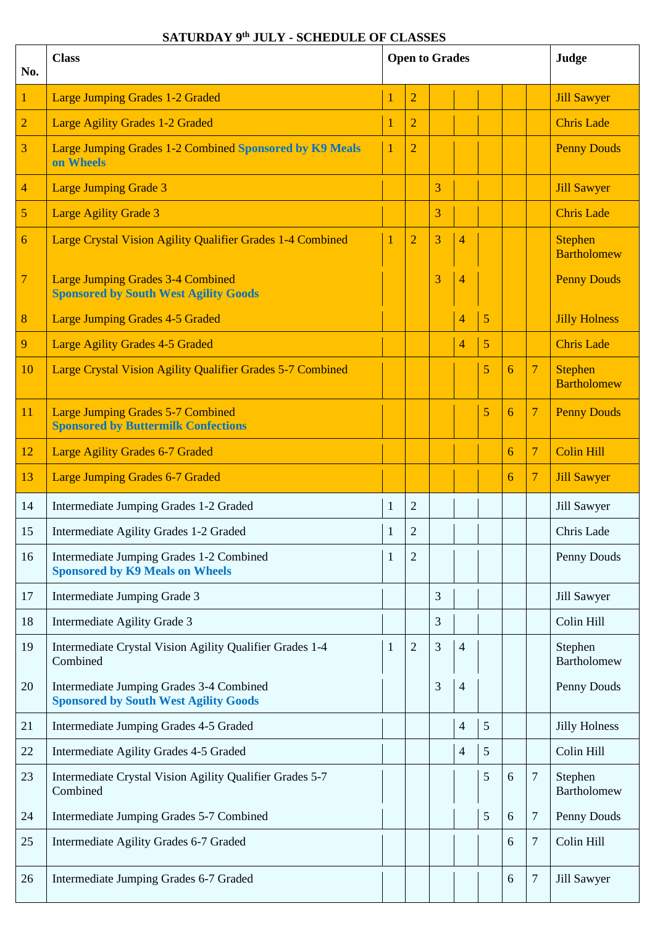## **SATURDAY 9th JULY - SCHEDULE OF CLASSES**

| No.            | <b>Class</b>                                                                             | <b>Open to Grades</b> |                |   |                | Judge |   |                                                        |                                      |  |  |  |  |  |
|----------------|------------------------------------------------------------------------------------------|-----------------------|----------------|---|----------------|-------|---|--------------------------------------------------------|--------------------------------------|--|--|--|--|--|
| $\mathbf{1}$   | <b>Large Jumping Grades 1-2 Graded</b>                                                   |                       | $\overline{2}$ |   |                |       |   |                                                        | <b>Jill Sawyer</b>                   |  |  |  |  |  |
| $\overline{2}$ | <b>Large Agility Grades 1-2 Graded</b>                                                   | 1                     | $\overline{2}$ |   |                |       |   | <b>Chris Lade</b>                                      |                                      |  |  |  |  |  |
| 3              | Large Jumping Grades 1-2 Combined Sponsored by K9 Meals<br>on Wheels                     | 1                     | $\overline{2}$ |   |                |       |   |                                                        | <b>Penny Douds</b>                   |  |  |  |  |  |
| $\overline{4}$ | <b>Large Jumping Grade 3</b>                                                             |                       |                | 3 |                |       |   |                                                        | <b>Jill Sawyer</b>                   |  |  |  |  |  |
| 5              | <b>Large Agility Grade 3</b>                                                             |                       |                | 3 |                |       |   |                                                        | <b>Chris</b> Lade                    |  |  |  |  |  |
| 6              | Large Crystal Vision Agility Qualifier Grades 1-4 Combined                               | 1                     | $\overline{2}$ | 3 | $\overline{4}$ |       |   |                                                        | <b>Stephen</b><br><b>Bartholomew</b> |  |  |  |  |  |
| $\overline{7}$ | <b>Large Jumping Grades 3-4 Combined</b><br><b>Sponsored by South West Agility Goods</b> |                       |                | 3 | $\overline{4}$ |       |   |                                                        | <b>Penny Douds</b>                   |  |  |  |  |  |
| 8              | <b>Large Jumping Grades 4-5 Graded</b>                                                   |                       |                |   | $\overline{4}$ | 5     |   |                                                        | <b>Jilly Holness</b>                 |  |  |  |  |  |
| 9              | <b>Large Agility Grades 4-5 Graded</b>                                                   |                       |                |   | 4              | 5     |   |                                                        | <b>Chris Lade</b>                    |  |  |  |  |  |
| 10             | Large Crystal Vision Agility Qualifier Grades 5-7 Combined                               |                       |                |   |                | 5     | 6 | $\overline{7}$<br><b>Stephen</b><br><b>Bartholomew</b> |                                      |  |  |  |  |  |
| 11             | <b>Large Jumping Grades 5-7 Combined</b><br><b>Sponsored by Buttermilk Confections</b>   |                       |                |   |                | 5     | 6 | $\overline{7}$                                         | <b>Penny Douds</b>                   |  |  |  |  |  |
| 12             | Large Agility Grades 6-7 Graded                                                          |                       |                |   |                |       | 6 | $\overline{7}$                                         | <b>Colin Hill</b>                    |  |  |  |  |  |
| 13             | <b>Large Jumping Grades 6-7 Graded</b>                                                   |                       |                |   |                |       | 6 | $\overline{\mathcal{L}}$                               | <b>Jill Sawyer</b>                   |  |  |  |  |  |
| 14             | Intermediate Jumping Grades 1-2 Graded                                                   | $\mathbf{1}$          | $\overline{2}$ |   |                |       |   |                                                        | Jill Sawyer                          |  |  |  |  |  |
| 15             | Intermediate Agility Grades 1-2 Graded                                                   | $\mathbf{1}$          | $\mathbf{2}$   |   |                |       |   |                                                        | Chris Lade                           |  |  |  |  |  |
| 16             | Intermediate Jumping Grades 1-2 Combined<br><b>Sponsored by K9 Meals on Wheels</b>       | 1                     | $\overline{2}$ |   |                |       |   |                                                        | Penny Douds                          |  |  |  |  |  |
| 17             | Intermediate Jumping Grade 3                                                             |                       |                | 3 |                |       |   |                                                        | Jill Sawyer                          |  |  |  |  |  |
| 18             | Intermediate Agility Grade 3                                                             |                       |                | 3 |                |       |   |                                                        | Colin Hill                           |  |  |  |  |  |
| 19             | Intermediate Crystal Vision Agility Qualifier Grades 1-4<br>Combined                     | 1                     | $\overline{2}$ | 3 | 4              |       |   |                                                        | Stephen<br>Bartholomew               |  |  |  |  |  |
| 20             | Intermediate Jumping Grades 3-4 Combined<br><b>Sponsored by South West Agility Goods</b> |                       |                | 3 | 4              |       |   |                                                        | Penny Douds                          |  |  |  |  |  |
| 21             | Intermediate Jumping Grades 4-5 Graded                                                   |                       |                |   | 4              | 5     |   |                                                        | <b>Jilly Holness</b>                 |  |  |  |  |  |
| 22             | Intermediate Agility Grades 4-5 Graded                                                   |                       |                |   | 4              | 5     |   |                                                        | Colin Hill                           |  |  |  |  |  |
| 23             | Intermediate Crystal Vision Agility Qualifier Grades 5-7<br>Combined                     |                       |                |   |                | 5     | 6 | $\tau$                                                 | Stephen<br>Bartholomew               |  |  |  |  |  |
| 24             | Intermediate Jumping Grades 5-7 Combined                                                 |                       |                |   |                | 5     | 6 | 7                                                      | Penny Douds                          |  |  |  |  |  |
| 25             | Intermediate Agility Grades 6-7 Graded                                                   |                       |                |   |                |       | 6 | 7                                                      | Colin Hill                           |  |  |  |  |  |
| 26             | Intermediate Jumping Grades 6-7 Graded                                                   |                       |                |   |                |       | 6 | Jill Sawyer<br>7                                       |                                      |  |  |  |  |  |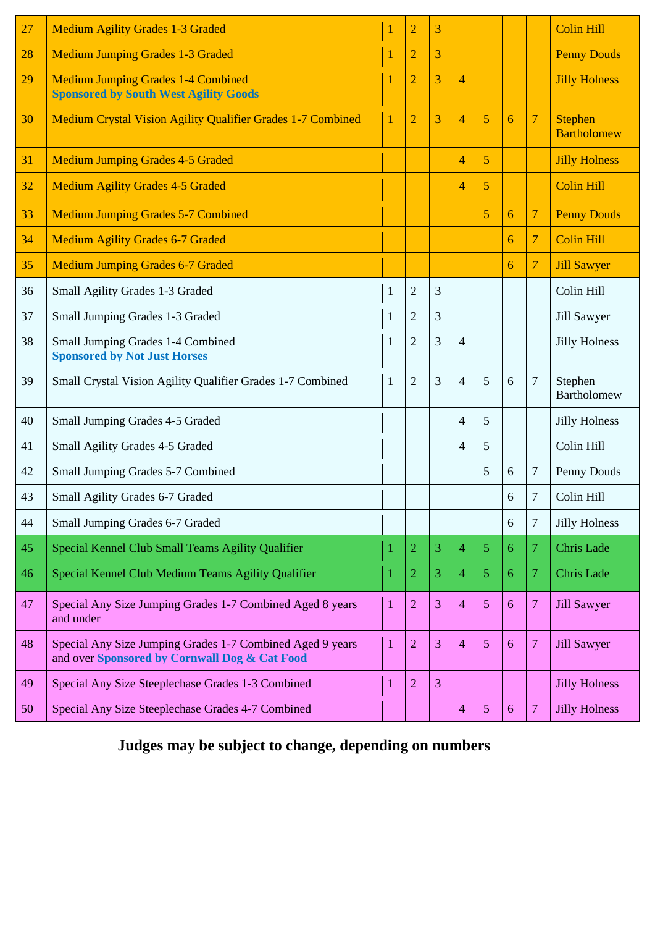| 27 | <b>Medium Agility Grades 1-3 Graded</b>                                                                    | 1            | $\overline{2}$ | 3 |                |   |   |                | <b>Colin Hill</b>                    |
|----|------------------------------------------------------------------------------------------------------------|--------------|----------------|---|----------------|---|---|----------------|--------------------------------------|
| 28 | <b>Medium Jumping Grades 1-3 Graded</b>                                                                    | 1            | $\overline{2}$ | 3 |                |   |   |                | <b>Penny Douds</b>                   |
| 29 | <b>Medium Jumping Grades 1-4 Combined</b><br><b>Sponsored by South West Agility Goods</b>                  | 1            | $\overline{2}$ | 3 | $\overline{4}$ |   |   |                | <b>Jilly Holness</b>                 |
| 30 | <b>Medium Crystal Vision Agility Qualifier Grades 1-7 Combined</b>                                         | $\mathbf{1}$ | $\overline{2}$ | 3 | $\overline{4}$ | 5 | 6 | $\overline{7}$ | <b>Stephen</b><br><b>Bartholomew</b> |
| 31 | <b>Medium Jumping Grades 4-5 Graded</b>                                                                    |              |                |   | $\overline{4}$ | 5 |   |                | <b>Jilly Holness</b>                 |
| 32 | <b>Medium Agility Grades 4-5 Graded</b>                                                                    |              |                |   | $\overline{4}$ | 5 |   |                | <b>Colin Hill</b>                    |
| 33 | <b>Medium Jumping Grades 5-7 Combined</b>                                                                  |              |                |   |                | 5 | 6 | $\overline{7}$ | <b>Penny Douds</b>                   |
| 34 | <b>Medium Agility Grades 6-7 Graded</b>                                                                    |              |                |   |                |   | 6 | $\overline{7}$ | <b>Colin Hill</b>                    |
| 35 | <b>Medium Jumping Grades 6-7 Graded</b>                                                                    |              |                |   |                |   | 6 | 7              | <b>Jill Sawyer</b>                   |
| 36 | Small Agility Grades 1-3 Graded                                                                            | $\mathbf{1}$ | $\overline{2}$ | 3 |                |   |   |                | Colin Hill                           |
| 37 | Small Jumping Grades 1-3 Graded                                                                            | 1            | $\overline{2}$ | 3 |                |   |   |                | Jill Sawyer                          |
| 38 | Small Jumping Grades 1-4 Combined<br><b>Sponsored by Not Just Horses</b>                                   | 1            | $\overline{2}$ | 3 | $\overline{4}$ |   |   |                | <b>Jilly Holness</b>                 |
| 39 | Small Crystal Vision Agility Qualifier Grades 1-7 Combined                                                 | 1            | $\overline{2}$ | 3 | $\overline{4}$ | 5 | 6 | $\tau$         | Stephen<br><b>Bartholomew</b>        |
| 40 | Small Jumping Grades 4-5 Graded                                                                            |              |                |   | $\overline{4}$ | 5 |   |                | <b>Jilly Holness</b>                 |
| 41 | Small Agility Grades 4-5 Graded                                                                            |              |                |   | 4              | 5 |   |                | Colin Hill                           |
| 42 | Small Jumping Grades 5-7 Combined                                                                          |              |                |   |                | 5 | 6 | 7              | Penny Douds                          |
| 43 | Small Agility Grades 6-7 Graded                                                                            |              |                |   |                |   | 6 | 7              | Colin Hill                           |
| 44 | Small Jumping Grades 6-7 Graded                                                                            |              |                |   |                |   | 6 | $\tau$         | <b>Jilly Holness</b>                 |
| 45 | Special Kennel Club Small Teams Agility Qualifier                                                          | 1            | $\overline{2}$ | 3 | $\overline{4}$ | 5 | 6 | 7              | <b>Chris</b> Lade                    |
| 46 | Special Kennel Club Medium Teams Agility Qualifier                                                         | 1            | 2              | 3 | $\overline{4}$ | 5 | 6 | 7              | <b>Chris Lade</b>                    |
| 47 | Special Any Size Jumping Grades 1-7 Combined Aged 8 years<br>and under                                     | $\mathbf{1}$ | $\overline{2}$ | 3 | $\overline{4}$ | 5 | 6 | 7              | <b>Jill Sawyer</b>                   |
| 48 | Special Any Size Jumping Grades 1-7 Combined Aged 9 years<br>and over Sponsored by Cornwall Dog & Cat Food | 1            | $\overline{2}$ | 3 | $\overline{4}$ | 5 | 6 | 7              | <b>Jill Sawyer</b>                   |
| 49 | Special Any Size Steeplechase Grades 1-3 Combined                                                          | 1            | $\overline{2}$ | 3 |                |   |   |                | <b>Jilly Holness</b>                 |
| 50 | Special Any Size Steeplechase Grades 4-7 Combined                                                          |              |                |   | $\overline{4}$ | 5 | 6 | 7              | <b>Jilly Holness</b>                 |

**Judges may be subject to change, depending on numbers**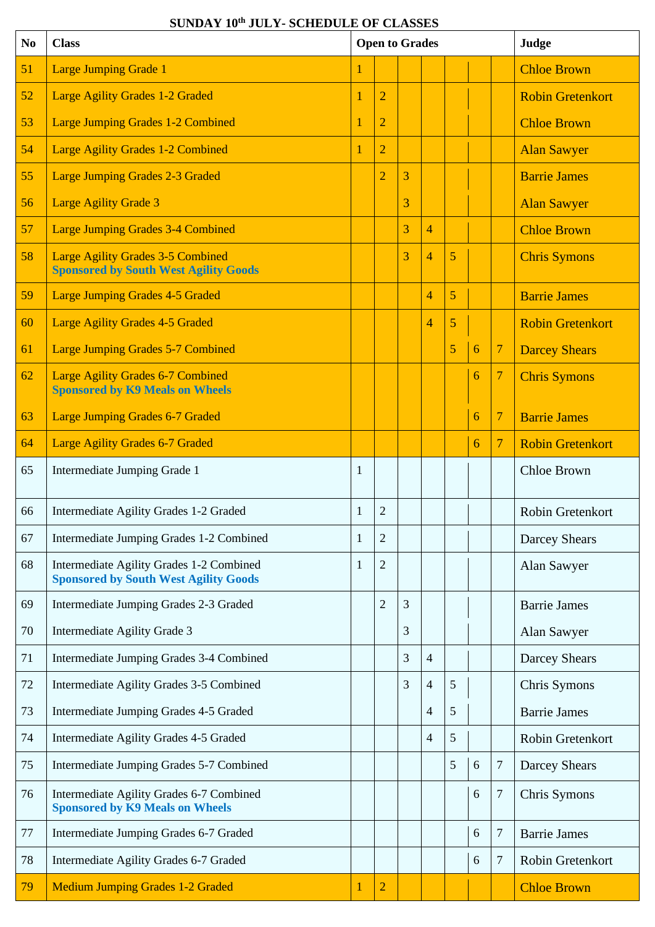| N <sub>0</sub> | <b>Class</b>                                                                             |              | <b>Open to Grades</b> |   |                |   |   | Judge                    |                         |
|----------------|------------------------------------------------------------------------------------------|--------------|-----------------------|---|----------------|---|---|--------------------------|-------------------------|
| 51             | <b>Large Jumping Grade 1</b>                                                             |              |                       |   |                |   |   |                          | <b>Chloe Brown</b>      |
| 52             | <b>Large Agility Grades 1-2 Graded</b>                                                   |              | $\overline{2}$        |   |                |   |   |                          | <b>Robin Gretenkort</b> |
| 53             | <b>Large Jumping Grades 1-2 Combined</b>                                                 | 1            | $\overline{2}$        |   |                |   |   |                          | <b>Chloe Brown</b>      |
| 54             | <b>Large Agility Grades 1-2 Combined</b>                                                 | 1            | $\overline{2}$        |   |                |   |   |                          | <b>Alan Sawyer</b>      |
| 55             | <b>Large Jumping Grades 2-3 Graded</b>                                                   |              | $\overline{2}$        | 3 |                |   |   |                          | <b>Barrie James</b>     |
| 56             | <b>Large Agility Grade 3</b>                                                             |              |                       | 3 |                |   |   |                          | <b>Alan Sawyer</b>      |
| 57             | <b>Large Jumping Grades 3-4 Combined</b>                                                 |              |                       | 3 | $\overline{4}$ |   |   |                          | <b>Chloe Brown</b>      |
| 58             | <b>Large Agility Grades 3-5 Combined</b><br><b>Sponsored by South West Agility Goods</b> |              |                       | 3 | $\overline{4}$ | 5 |   |                          | <b>Chris Symons</b>     |
| 59             | <b>Large Jumping Grades 4-5 Graded</b>                                                   |              |                       |   | 4              | 5 |   |                          | <b>Barrie James</b>     |
| 60             | <b>Large Agility Grades 4-5 Graded</b>                                                   |              |                       |   | $\overline{4}$ | 5 |   |                          | <b>Robin Gretenkort</b> |
| 61             | <b>Large Jumping Grades 5-7 Combined</b>                                                 |              |                       |   |                | 5 | 6 | 7                        | <b>Darcey Shears</b>    |
| 62             | <b>Large Agility Grades 6-7 Combined</b><br><b>Sponsored by K9 Meals on Wheels</b>       |              |                       |   |                |   | 6 | $\overline{\mathcal{L}}$ | <b>Chris Symons</b>     |
| 63             | <b>Large Jumping Grades 6-7 Graded</b>                                                   |              |                       |   |                |   | 6 | $\overline{\mathcal{L}}$ | <b>Barrie James</b>     |
| 64             | <b>Large Agility Grades 6-7 Graded</b>                                                   |              |                       |   |                |   | 6 | $\overline{7}$           | <b>Robin Gretenkort</b> |
| 65             | Intermediate Jumping Grade 1                                                             | 1            |                       |   |                |   |   |                          | <b>Chloe Brown</b>      |
| 66             | Intermediate Agility Grades 1-2 Graded                                                   | 1            | 2                     |   |                |   |   |                          | Robin Gretenkort        |
| 67             | Intermediate Jumping Grades 1-2 Combined                                                 | $\mathbf{1}$ | $\overline{c}$        |   |                |   |   |                          | Darcey Shears           |
| 68             | Intermediate Agility Grades 1-2 Combined<br><b>Sponsored by South West Agility Goods</b> | 1            | $\overline{c}$        |   |                |   |   |                          | Alan Sawyer             |
| 69             | Intermediate Jumping Grades 2-3 Graded                                                   |              | $\overline{c}$        | 3 |                |   |   |                          | <b>Barrie James</b>     |
| 70             | Intermediate Agility Grade 3                                                             |              |                       | 3 |                |   |   |                          | Alan Sawyer             |
| 71             | Intermediate Jumping Grades 3-4 Combined                                                 |              |                       | 3 | $\overline{4}$ |   |   |                          | <b>Darcey Shears</b>    |
| 72             | Intermediate Agility Grades 3-5 Combined                                                 |              |                       | 3 | 4              | 5 |   |                          | Chris Symons            |
| 73             | Intermediate Jumping Grades 4-5 Graded                                                   |              |                       |   | $\overline{4}$ | 5 |   |                          | <b>Barrie James</b>     |
| 74             | Intermediate Agility Grades 4-5 Graded                                                   |              |                       |   | $\overline{4}$ | 5 |   |                          | Robin Gretenkort        |
| 75             | Intermediate Jumping Grades 5-7 Combined                                                 |              |                       |   |                | 5 | 6 | 7                        | <b>Darcey Shears</b>    |
| 76             | Intermediate Agility Grades 6-7 Combined<br><b>Sponsored by K9 Meals on Wheels</b>       |              |                       |   |                |   | 6 | 7                        | Chris Symons            |
| 77             | Intermediate Jumping Grades 6-7 Graded                                                   |              |                       |   |                |   | 6 | 7                        | <b>Barrie James</b>     |
| 78             | Intermediate Agility Grades 6-7 Graded                                                   |              |                       |   |                |   | 6 | 7                        | Robin Gretenkort        |
| 79             | <b>Medium Jumping Grades 1-2 Graded</b>                                                  | 1            | $\overline{2}$        |   |                |   |   |                          | <b>Chloe Brown</b>      |

### **SUNDAY 10 th JULY- SCHEDULE OF CLASSES**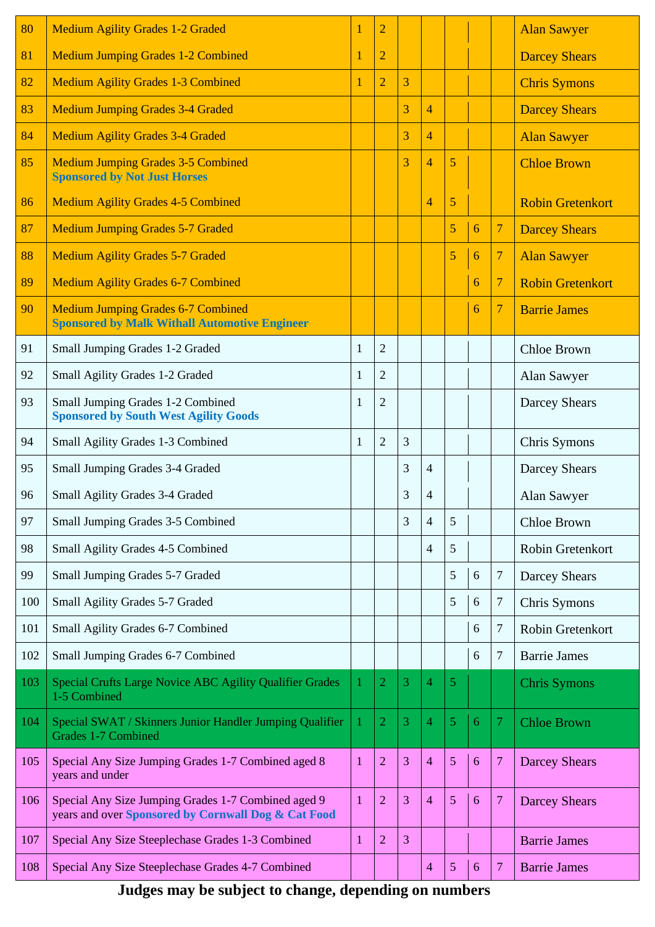| 80  | <b>Medium Agility Grades 1-2 Graded</b>                                                                    |   | $\overline{2}$ |   |                |   |   |                | <b>Alan Sawyer</b>      |
|-----|------------------------------------------------------------------------------------------------------------|---|----------------|---|----------------|---|---|----------------|-------------------------|
| 81  | <b>Medium Jumping Grades 1-2 Combined</b>                                                                  |   | $\overline{2}$ |   |                |   |   |                | <b>Darcey Shears</b>    |
| 82  | <b>Medium Agility Grades 1-3 Combined</b>                                                                  |   | $\overline{2}$ | 3 |                |   |   |                | <b>Chris Symons</b>     |
| 83  | <b>Medium Jumping Grades 3-4 Graded</b>                                                                    |   |                | 3 | $\overline{4}$ |   |   |                | <b>Darcey Shears</b>    |
| 84  | <b>Medium Agility Grades 3-4 Graded</b>                                                                    |   |                | 3 | $\overline{4}$ |   |   |                | <b>Alan Sawyer</b>      |
| 85  | <b>Medium Jumping Grades 3-5 Combined</b><br><b>Sponsored by Not Just Horses</b>                           |   |                | 3 | $\overline{4}$ | 5 |   |                | <b>Chloe Brown</b>      |
| 86  | <b>Medium Agility Grades 4-5 Combined</b>                                                                  |   |                |   | $\overline{4}$ | 5 |   |                | <b>Robin Gretenkort</b> |
| 87  | <b>Medium Jumping Grades 5-7 Graded</b>                                                                    |   |                |   |                | 5 | 6 | $\overline{7}$ | <b>Darcey Shears</b>    |
| 88  | <b>Medium Agility Grades 5-7 Graded</b>                                                                    |   |                |   |                | 5 | 6 | $\overline{7}$ | <b>Alan Sawyer</b>      |
| 89  | <b>Medium Agility Grades 6-7 Combined</b>                                                                  |   |                |   |                |   | 6 | $\overline{7}$ | <b>Robin Gretenkort</b> |
| 90  | <b>Medium Jumping Grades 6-7 Combined</b><br><b>Sponsored by Malk Withall Automotive Engineer</b>          |   |                |   |                |   | 6 | $\overline{7}$ | <b>Barrie James</b>     |
| 91  | Small Jumping Grades 1-2 Graded                                                                            | 1 | $\overline{2}$ |   |                |   |   |                | Chloe Brown             |
| 92  | Small Agility Grades 1-2 Graded                                                                            | 1 | $\overline{2}$ |   |                |   |   |                | Alan Sawyer             |
| 93  | Small Jumping Grades 1-2 Combined<br><b>Sponsored by South West Agility Goods</b>                          | 1 | $\overline{2}$ |   |                |   |   |                | Darcey Shears           |
| 94  | Small Agility Grades 1-3 Combined                                                                          | 1 | $\overline{2}$ | 3 |                |   |   |                | Chris Symons            |
| 95  | Small Jumping Grades 3-4 Graded                                                                            |   |                | 3 | $\overline{4}$ |   |   |                | Darcey Shears           |
| 96  | Small Agility Grades 3-4 Graded                                                                            |   |                | 3 | $\overline{4}$ |   |   |                | Alan Sawyer             |
| 97  | Small Jumping Grades 3-5 Combined                                                                          |   |                | 3 | $\overline{4}$ | 5 |   |                | <b>Chloe Brown</b>      |
| 98  | Small Agility Grades 4-5 Combined                                                                          |   |                |   | 4              | 5 |   |                | Robin Gretenkort        |
| 99  | Small Jumping Grades 5-7 Graded                                                                            |   |                |   |                | 5 | 6 | $\tau$         | <b>Darcey Shears</b>    |
| 100 | Small Agility Grades 5-7 Graded                                                                            |   |                |   |                | 5 | 6 | $\tau$         | Chris Symons            |
| 101 | Small Agility Grades 6-7 Combined                                                                          |   |                |   |                |   | 6 | $\tau$         | Robin Gretenkort        |
| 102 | Small Jumping Grades 6-7 Combined                                                                          |   |                |   |                |   | 6 | $\overline{7}$ | <b>Barrie James</b>     |
| 103 | Special Crufts Large Novice ABC Agility Qualifier Grades<br>1-5 Combined                                   | 1 | $\overline{2}$ | 3 | $\overline{4}$ | 5 |   |                | <b>Chris Symons</b>     |
| 104 | Special SWAT / Skinners Junior Handler Jumping Qualifier<br>Grades 1-7 Combined                            | 1 | $\overline{2}$ | 3 | 4              | 5 | 6 | $\overline{7}$ | <b>Chloe Brown</b>      |
| 105 | Special Any Size Jumping Grades 1-7 Combined aged 8<br>years and under                                     | 1 | $\overline{2}$ | 3 | $\overline{4}$ | 5 | 6 | $\overline{7}$ | <b>Darcey Shears</b>    |
| 106 | Special Any Size Jumping Grades 1-7 Combined aged 9<br>years and over Sponsored by Cornwall Dog & Cat Food | 1 | $\overline{2}$ | 3 | $\overline{4}$ | 5 | 6 | $\overline{7}$ | <b>Darcey Shears</b>    |
| 107 | Special Any Size Steeplechase Grades 1-3 Combined                                                          | 1 | $\overline{2}$ | 3 |                |   |   |                | <b>Barrie James</b>     |
| 108 | Special Any Size Steeplechase Grades 4-7 Combined                                                          |   |                |   | 4              | 5 | 6 | $\overline{7}$ | <b>Barrie James</b>     |

**Judges may be subject to change, depending on numbers**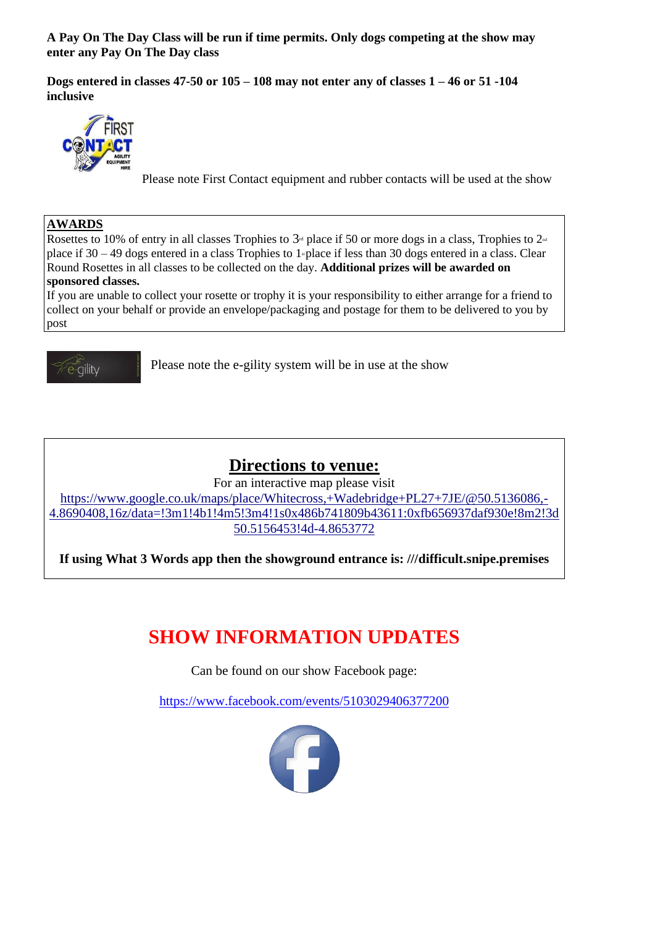**A Pay On The Day Class will be run if time permits. Only dogs competing at the show may enter any Pay On The Day class** 

**Dogs entered in classes 47-50 or 105 – 108 may not enter any of classes 1 – 46 or 51 -104 inclusive** 



Please note First Contact equipment and rubber contacts will be used at the show

### **AWARDS**

Rosettes to 10% of entry in all classes Trophies to  $3<sup>d</sup>$  place if 50 or more dogs in a class, Trophies to  $2<sup>d</sup>$ place if  $30 - 49$  dogs entered in a class Trophies to 1<sup>st</sup> place if less than 30 dogs entered in a class. Clear Round Rosettes in all classes to be collected on the day. **Additional prizes will be awarded on** 

### **sponsored classes.**

If you are unable to collect your rosette or trophy it is your responsibility to either arrange for a friend to collect on your behalf or provide an envelope/packaging and postage for them to be delivered to you by post



Please note the e-gility system will be in use at the show

## **Directions to venue:**

For an interactive map please visit

[https://www.google.co.uk/maps/place/Whitecross,+Wadebridge+PL27+7JE/@50.5136086,-](https://www.google.co.uk/maps/place/Whitecross,+Wadebridge+PL27+7JE/@50.5136086,-4.8690408,16z/data=!3m1!4b1!4m5!3m4!1s0x486b741809b43611:0xfb656937daf930e!8m2!3d50.5156453!4d-4.8653772) [4.8690408,16z/data=!3m1!4b1!4m5!3m4!1s0x486b741809b43611:0xfb656937daf930e!8m2!3d](https://www.google.co.uk/maps/place/Whitecross,+Wadebridge+PL27+7JE/@50.5136086,-4.8690408,16z/data=!3m1!4b1!4m5!3m4!1s0x486b741809b43611:0xfb656937daf930e!8m2!3d50.5156453!4d-4.8653772) [50.5156453!4d-4.8653772](https://www.google.co.uk/maps/place/Whitecross,+Wadebridge+PL27+7JE/@50.5136086,-4.8690408,16z/data=!3m1!4b1!4m5!3m4!1s0x486b741809b43611:0xfb656937daf930e!8m2!3d50.5156453!4d-4.8653772)

**If using What 3 Words app then the showground entrance is: ///difficult.snipe.premises**

## **SHOW INFORMATION UPDATES**

Can be found on our show Facebook page:

<https://www.facebook.com/events/5103029406377200>

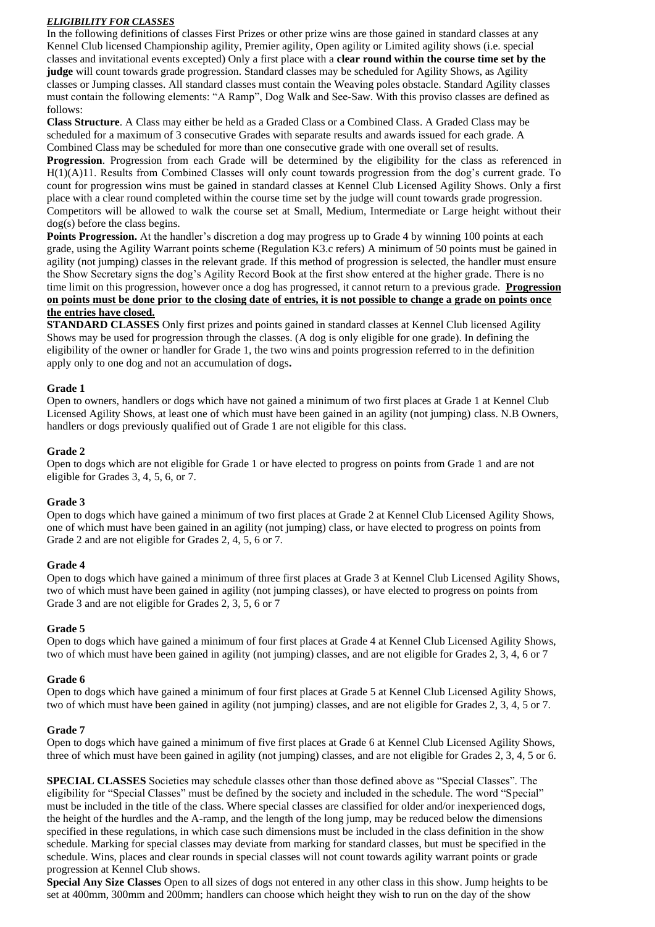### *ELIGIBILITY FOR CLASSES*

In the following definitions of classes First Prizes or other prize wins are those gained in standard classes at any Kennel Club licensed Championship agility, Premier agility, Open agility or Limited agility shows (i.e. special classes and invitational events excepted) Only a first place with a **clear round within the course time set by the judge** will count towards grade progression. Standard classes may be scheduled for Agility Shows, as Agility classes or Jumping classes. All standard classes must contain the Weaving poles obstacle. Standard Agility classes must contain the following elements: "A Ramp", Dog Walk and See-Saw. With this proviso classes are defined as follows:

**Class Structure**. A Class may either be held as a Graded Class or a Combined Class. A Graded Class may be scheduled for a maximum of 3 consecutive Grades with separate results and awards issued for each grade. A Combined Class may be scheduled for more than one consecutive grade with one overall set of results.

**Progression.** Progression from each Grade will be determined by the eligibility for the class as referenced in H(1)(A)11. Results from Combined Classes will only count towards progression from the dog's current grade. To count for progression wins must be gained in standard classes at Kennel Club Licensed Agility Shows. Only a first place with a clear round completed within the course time set by the judge will count towards grade progression. Competitors will be allowed to walk the course set at Small, Medium, Intermediate or Large height without their dog(s) before the class begins.

**Points Progression.** At the handler's discretion a dog may progress up to Grade 4 by winning 100 points at each grade, using the Agility Warrant points scheme (Regulation K3.c refers) A minimum of 50 points must be gained in agility (not jumping) classes in the relevant grade. If this method of progression is selected, the handler must ensure the Show Secretary signs the dog's Agility Record Book at the first show entered at the higher grade. There is no time limit on this progression, however once a dog has progressed, it cannot return to a previous grade. **Progression on points must be done prior to the closing date of entries, it is not possible to change a grade on points once the entries have closed.**

**STANDARD CLASSES** Only first prizes and points gained in standard classes at Kennel Club licensed Agility Shows may be used for progression through the classes. (A dog is only eligible for one grade). In defining the eligibility of the owner or handler for Grade 1, the two wins and points progression referred to in the definition apply only to one dog and not an accumulation of dogs**.** 

### **Grade 1**

Open to owners, handlers or dogs which have not gained a minimum of two first places at Grade 1 at Kennel Club Licensed Agility Shows, at least one of which must have been gained in an agility (not jumping) class. N.B Owners, handlers or dogs previously qualified out of Grade 1 are not eligible for this class.

### **Grade 2**

Open to dogs which are not eligible for Grade 1 or have elected to progress on points from Grade 1 and are not eligible for Grades 3, 4, 5, 6, or 7.

### **Grade 3**

Open to dogs which have gained a minimum of two first places at Grade 2 at Kennel Club Licensed Agility Shows, one of which must have been gained in an agility (not jumping) class, or have elected to progress on points from Grade 2 and are not eligible for Grades 2, 4, 5, 6 or 7.

### **Grade 4**

Open to dogs which have gained a minimum of three first places at Grade 3 at Kennel Club Licensed Agility Shows, two of which must have been gained in agility (not jumping classes), or have elected to progress on points from Grade 3 and are not eligible for Grades 2, 3, 5, 6 or 7

### **Grade 5**

Open to dogs which have gained a minimum of four first places at Grade 4 at Kennel Club Licensed Agility Shows, two of which must have been gained in agility (not jumping) classes, and are not eligible for Grades 2, 3, 4, 6 or 7

### **Grade 6**

Open to dogs which have gained a minimum of four first places at Grade 5 at Kennel Club Licensed Agility Shows, two of which must have been gained in agility (not jumping) classes, and are not eligible for Grades 2, 3, 4, 5 or 7.

### **Grade 7**

Open to dogs which have gained a minimum of five first places at Grade 6 at Kennel Club Licensed Agility Shows, three of which must have been gained in agility (not jumping) classes, and are not eligible for Grades 2, 3, 4, 5 or 6.

**SPECIAL CLASSES** Societies may schedule classes other than those defined above as "Special Classes". The eligibility for "Special Classes" must be defined by the society and included in the schedule. The word "Special" must be included in the title of the class. Where special classes are classified for older and/or inexperienced dogs, the height of the hurdles and the A-ramp, and the length of the long jump, may be reduced below the dimensions specified in these regulations, in which case such dimensions must be included in the class definition in the show schedule. Marking for special classes may deviate from marking for standard classes, but must be specified in the schedule. Wins, places and clear rounds in special classes will not count towards agility warrant points or grade progression at Kennel Club shows.

**Special Any Size Classes** Open to all sizes of dogs not entered in any other class in this show. Jump heights to be set at 400mm, 300mm and 200mm; handlers can choose which height they wish to run on the day of the show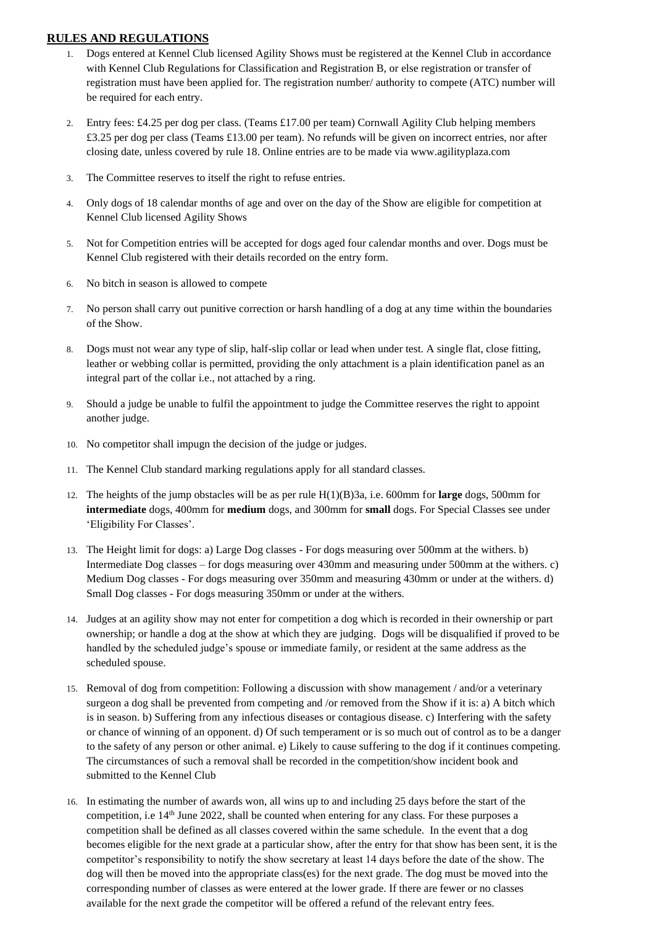### **RULES AND REGULATIONS**

- 1. Dogs entered at Kennel Club licensed Agility Shows must be registered at the Kennel Club in accordance with Kennel Club Regulations for Classification and Registration B, or else registration or transfer of registration must have been applied for. The registration number/ authority to compete (ATC) number will be required for each entry.
- 2. Entry fees: £4.25 per dog per class. (Teams £17.00 per team) Cornwall Agility Club helping members £3.25 per dog per class (Teams £13.00 per team). No refunds will be given on incorrect entries, nor after closing date, unless covered by rule 18. Online entries are to be made via www.agilityplaza.com
- 3. The Committee reserves to itself the right to refuse entries.
- 4. Only dogs of 18 calendar months of age and over on the day of the Show are eligible for competition at Kennel Club licensed Agility Shows
- 5. Not for Competition entries will be accepted for dogs aged four calendar months and over. Dogs must be Kennel Club registered with their details recorded on the entry form.
- 6. No bitch in season is allowed to compete
- 7. No person shall carry out punitive correction or harsh handling of a dog at any time within the boundaries of the Show.
- 8. Dogs must not wear any type of slip, half-slip collar or lead when under test. A single flat, close fitting, leather or webbing collar is permitted, providing the only attachment is a plain identification panel as an integral part of the collar i.e., not attached by a ring.
- 9. Should a judge be unable to fulfil the appointment to judge the Committee reserves the right to appoint another judge.
- 10. No competitor shall impugn the decision of the judge or judges.
- 11. The Kennel Club standard marking regulations apply for all standard classes.
- 12. The heights of the jump obstacles will be as per rule H(1)(B)3a, i.e. 600mm for **large** dogs, 500mm for **intermediate** dogs, 400mm for **medium** dogs, and 300mm for **small** dogs. For Special Classes see under 'Eligibility For Classes'.
- 13. The Height limit for dogs: a) Large Dog classes For dogs measuring over 500mm at the withers. b) Intermediate Dog classes – for dogs measuring over 430mm and measuring under 500mm at the withers. c) Medium Dog classes - For dogs measuring over 350mm and measuring 430mm or under at the withers. d) Small Dog classes - For dogs measuring 350mm or under at the withers.
- 14. Judges at an agility show may not enter for competition a dog which is recorded in their ownership or part ownership; or handle a dog at the show at which they are judging. Dogs will be disqualified if proved to be handled by the scheduled judge's spouse or immediate family, or resident at the same address as the scheduled spouse.
- 15. Removal of dog from competition: Following a discussion with show management / and/or a veterinary surgeon a dog shall be prevented from competing and /or removed from the Show if it is: a) A bitch which is in season. b) Suffering from any infectious diseases or contagious disease. c) Interfering with the safety or chance of winning of an opponent. d) Of such temperament or is so much out of control as to be a danger to the safety of any person or other animal. e) Likely to cause suffering to the dog if it continues competing. The circumstances of such a removal shall be recorded in the competition/show incident book and submitted to the Kennel Club
- 16. In estimating the number of awards won, all wins up to and including 25 days before the start of the competition, i.e  $14<sup>th</sup>$  June 2022, shall be counted when entering for any class. For these purposes a competition shall be defined as all classes covered within the same schedule. In the event that a dog becomes eligible for the next grade at a particular show, after the entry for that show has been sent, it is the competitor's responsibility to notify the show secretary at least 14 days before the date of the show. The dog will then be moved into the appropriate class(es) for the next grade. The dog must be moved into the corresponding number of classes as were entered at the lower grade. If there are fewer or no classes available for the next grade the competitor will be offered a refund of the relevant entry fees.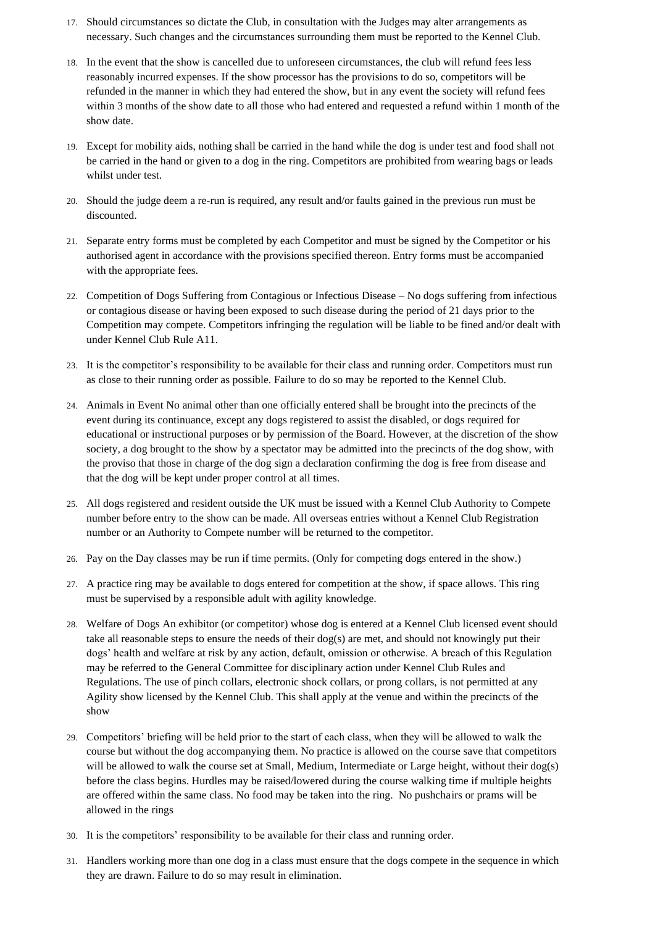- 17. Should circumstances so dictate the Club, in consultation with the Judges may alter arrangements as necessary. Such changes and the circumstances surrounding them must be reported to the Kennel Club.
- 18. In the event that the show is cancelled due to unforeseen circumstances, the club will refund fees less reasonably incurred expenses. If the show processor has the provisions to do so, competitors will be refunded in the manner in which they had entered the show, but in any event the society will refund fees within 3 months of the show date to all those who had entered and requested a refund within 1 month of the show date.
- 19. Except for mobility aids, nothing shall be carried in the hand while the dog is under test and food shall not be carried in the hand or given to a dog in the ring. Competitors are prohibited from wearing bags or leads whilst under test.
- 20. Should the judge deem a re-run is required, any result and/or faults gained in the previous run must be discounted.
- 21. Separate entry forms must be completed by each Competitor and must be signed by the Competitor or his authorised agent in accordance with the provisions specified thereon. Entry forms must be accompanied with the appropriate fees.
- 22. Competition of Dogs Suffering from Contagious or Infectious Disease No dogs suffering from infectious or contagious disease or having been exposed to such disease during the period of 21 days prior to the Competition may compete. Competitors infringing the regulation will be liable to be fined and/or dealt with under Kennel Club Rule A11.
- 23. It is the competitor's responsibility to be available for their class and running order. Competitors must run as close to their running order as possible. Failure to do so may be reported to the Kennel Club.
- 24. Animals in Event No animal other than one officially entered shall be brought into the precincts of the event during its continuance, except any dogs registered to assist the disabled, or dogs required for educational or instructional purposes or by permission of the Board. However, at the discretion of the show society, a dog brought to the show by a spectator may be admitted into the precincts of the dog show, with the proviso that those in charge of the dog sign a declaration confirming the dog is free from disease and that the dog will be kept under proper control at all times.
- 25. All dogs registered and resident outside the UK must be issued with a Kennel Club Authority to Compete number before entry to the show can be made. All overseas entries without a Kennel Club Registration number or an Authority to Compete number will be returned to the competitor.
- 26. Pay on the Day classes may be run if time permits. (Only for competing dogs entered in the show.)
- 27. A practice ring may be available to dogs entered for competition at the show, if space allows. This ring must be supervised by a responsible adult with agility knowledge.
- 28. Welfare of Dogs An exhibitor (or competitor) whose dog is entered at a Kennel Club licensed event should take all reasonable steps to ensure the needs of their dog(s) are met, and should not knowingly put their dogs' health and welfare at risk by any action, default, omission or otherwise. A breach of this Regulation may be referred to the General Committee for disciplinary action under Kennel Club Rules and Regulations. The use of pinch collars, electronic shock collars, or prong collars, is not permitted at any Agility show licensed by the Kennel Club. This shall apply at the venue and within the precincts of the show
- 29. Competitors' briefing will be held prior to the start of each class, when they will be allowed to walk the course but without the dog accompanying them. No practice is allowed on the course save that competitors will be allowed to walk the course set at Small, Medium, Intermediate or Large height, without their dog(s) before the class begins. Hurdles may be raised/lowered during the course walking time if multiple heights are offered within the same class. No food may be taken into the ring. No pushchairs or prams will be allowed in the rings
- 30. It is the competitors' responsibility to be available for their class and running order.
- 31. Handlers working more than one dog in a class must ensure that the dogs compete in the sequence in which they are drawn. Failure to do so may result in elimination.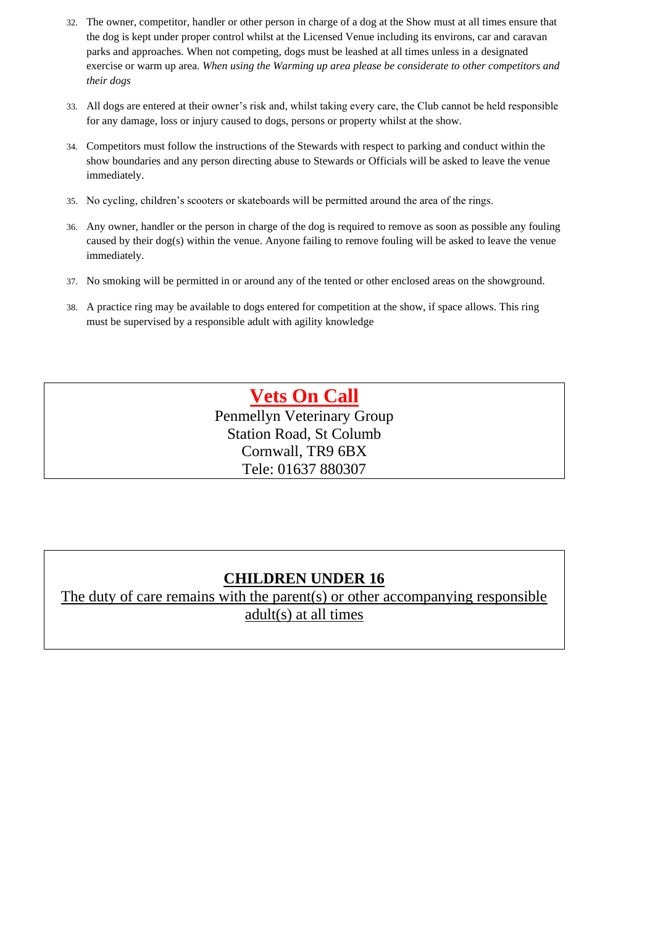- 32. The owner, competitor, handler or other person in charge of a dog at the Show must at all times ensure that the dog is kept under proper control whilst at the Licensed Venue including its environs, car and caravan parks and approaches. When not competing, dogs must be leashed at all times unless in a designated exercise or warm up area. *When using the Warming up area please be considerate to other competitors and their dogs*
- 33. All dogs are entered at their owner's risk and, whilst taking every care, the Club cannot be held responsible for any damage, loss or injury caused to dogs, persons or property whilst at the show.
- 34. Competitors must follow the instructions of the Stewards with respect to parking and conduct within the show boundaries and any person directing abuse to Stewards or Officials will be asked to leave the venue immediately.
- 35. No cycling, children's scooters or skateboards will be permitted around the area of the rings.
- 36. Any owner, handler or the person in charge of the dog is required to remove as soon as possible any fouling caused by their dog(s) within the venue. Anyone failing to remove fouling will be asked to leave the venue immediately.
- 37. No smoking will be permitted in or around any of the tented or other enclosed areas on the showground.
- 38. A practice ring may be available to dogs entered for competition at the show, if space allows. This ring must be supervised by a responsible adult with agility knowledge

## **Vets On Call**

Penmellyn Veterinary Group Station Road, St Columb Cornwall, TR9 6BX Tele: 01637 880307

## **CHILDREN UNDER 16**

The duty of care remains with the parent(s) or other accompanying responsible adult(s) at all times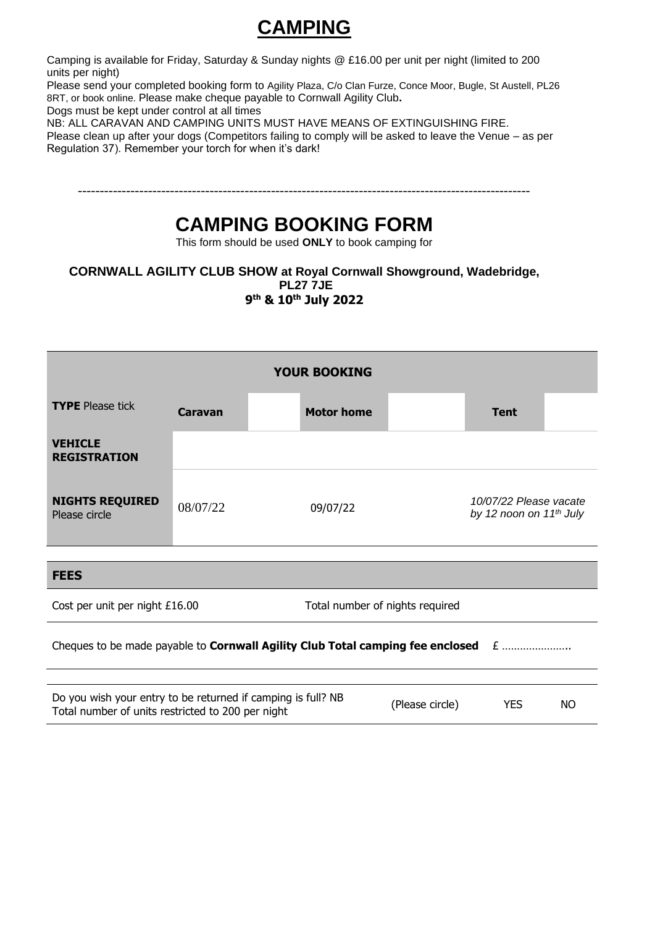# **CAMPING**

Camping is available for Friday, Saturday & Sunday nights @ £16.00 per unit per night (limited to 200 units per night)

Please send your completed booking form to Agility Plaza, C/o Clan Furze, Conce Moor, Bugle, St Austell, PL26 8RT, or book online. Please make cheque payable to Cornwall Agility Club**.** 

Dogs must be kept under control at all times

NB: ALL CARAVAN AND CAMPING UNITS MUST HAVE MEANS OF EXTINGUISHING FIRE. Please clean up after your dogs (Competitors failing to comply will be asked to leave the Venue – as per Regulation 37). Remember your torch for when it's dark!

## **CAMPING BOOKING FORM**

This form should be used **ONLY** to book camping for

**CORNWALL AGILITY CLUB SHOW at Royal Cornwall Showground, Wadebridge, PL27 7JE 9 th & 10th July 2022**

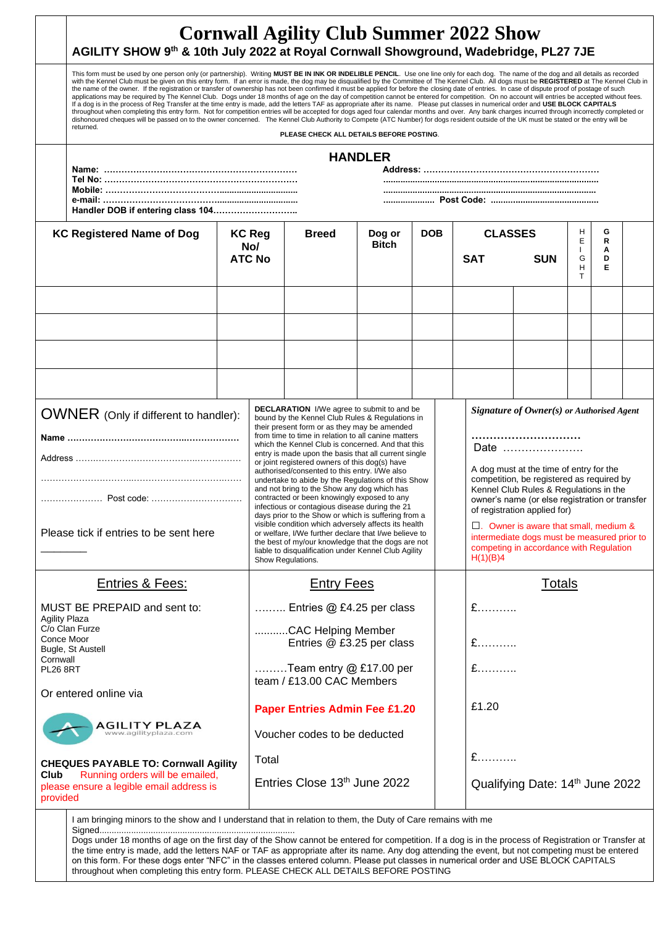|                                                                                 | AGILITY SHOW 9th & 10th July 2022 at Royal Cornwall Showground, Wadebridge, PL27 7JE                                                                                                                                                                                                                                                                                                                                                                                                                                                                                                                                                                                                                                                                                                                                                                                                                                                                                                                                                                                                                                                                                                                                                                                                                                                                                                                  |  |                                                                                                                                                                                                                                                                                                                                                                                                                                                                                                                                                                                                                                                                                                                                                                                                           | <b>Cornwall Agility Club Summer 2022 Show</b> |                        |            |               |                                                                                                                                                                                                                                                                                                                                                                      |            |                   |        |  |  |  |
|---------------------------------------------------------------------------------|-------------------------------------------------------------------------------------------------------------------------------------------------------------------------------------------------------------------------------------------------------------------------------------------------------------------------------------------------------------------------------------------------------------------------------------------------------------------------------------------------------------------------------------------------------------------------------------------------------------------------------------------------------------------------------------------------------------------------------------------------------------------------------------------------------------------------------------------------------------------------------------------------------------------------------------------------------------------------------------------------------------------------------------------------------------------------------------------------------------------------------------------------------------------------------------------------------------------------------------------------------------------------------------------------------------------------------------------------------------------------------------------------------|--|-----------------------------------------------------------------------------------------------------------------------------------------------------------------------------------------------------------------------------------------------------------------------------------------------------------------------------------------------------------------------------------------------------------------------------------------------------------------------------------------------------------------------------------------------------------------------------------------------------------------------------------------------------------------------------------------------------------------------------------------------------------------------------------------------------------|-----------------------------------------------|------------------------|------------|---------------|----------------------------------------------------------------------------------------------------------------------------------------------------------------------------------------------------------------------------------------------------------------------------------------------------------------------------------------------------------------------|------------|-------------------|--------|--|--|--|
|                                                                                 | This form must be used by one person only (or partnership). Writing MUST BE IN INK OR INDELIBLE PENCIL. Use one line only for each dog. The name of the dog and all details as recorded<br>with the Kennel Club must be given on this entry form. If an error is made, the dog may be disqualified by the Committee of The Kennel Club. All dogs must be REGISTERED at The Kennel Club in<br>the name of the owner. If the registration or transfer of ownership has not been confirmed it must be applied for before the closing date of entries. In case of dispute proof of postage of such<br>applications may be required by The Kennel Club. Dogs under 18 months of age on the day of competition cannot be entered for competition. On no account will entries be accepted without fees.<br>If a dog is in the process of Reg Transfer at the time entry is made, add the letters TAF as appropriate after its name. Please put classes in numerical order and USE BLOCK CAPITALS<br>throughout when completing this entry form. Not for competition entries will be accepted for dogs aged four calendar months and over. Any bank charges incurred through incorrectly completed or<br>dishonoured cheques will be passed on to the owner concerned. The Kennel Club Authority to Compete (ATC Number) for dogs resident outside of the UK must be stated or the entry will be<br>returned. |  |                                                                                                                                                                                                                                                                                                                                                                                                                                                                                                                                                                                                                                                                                                                                                                                                           |                                               |                        |            |               |                                                                                                                                                                                                                                                                                                                                                                      |            |                   |        |  |  |  |
|                                                                                 | PLEASE CHECK ALL DETAILS BEFORE POSTING.                                                                                                                                                                                                                                                                                                                                                                                                                                                                                                                                                                                                                                                                                                                                                                                                                                                                                                                                                                                                                                                                                                                                                                                                                                                                                                                                                              |  |                                                                                                                                                                                                                                                                                                                                                                                                                                                                                                                                                                                                                                                                                                                                                                                                           |                                               |                        |            |               |                                                                                                                                                                                                                                                                                                                                                                      |            |                   |        |  |  |  |
|                                                                                 |                                                                                                                                                                                                                                                                                                                                                                                                                                                                                                                                                                                                                                                                                                                                                                                                                                                                                                                                                                                                                                                                                                                                                                                                                                                                                                                                                                                                       |  |                                                                                                                                                                                                                                                                                                                                                                                                                                                                                                                                                                                                                                                                                                                                                                                                           |                                               | <b>HANDLER</b>         |            |               |                                                                                                                                                                                                                                                                                                                                                                      |            |                   |        |  |  |  |
|                                                                                 |                                                                                                                                                                                                                                                                                                                                                                                                                                                                                                                                                                                                                                                                                                                                                                                                                                                                                                                                                                                                                                                                                                                                                                                                                                                                                                                                                                                                       |  |                                                                                                                                                                                                                                                                                                                                                                                                                                                                                                                                                                                                                                                                                                                                                                                                           |                                               |                        |            |               |                                                                                                                                                                                                                                                                                                                                                                      |            |                   |        |  |  |  |
|                                                                                 |                                                                                                                                                                                                                                                                                                                                                                                                                                                                                                                                                                                                                                                                                                                                                                                                                                                                                                                                                                                                                                                                                                                                                                                                                                                                                                                                                                                                       |  |                                                                                                                                                                                                                                                                                                                                                                                                                                                                                                                                                                                                                                                                                                                                                                                                           |                                               |                        |            |               |                                                                                                                                                                                                                                                                                                                                                                      |            |                   |        |  |  |  |
|                                                                                 |                                                                                                                                                                                                                                                                                                                                                                                                                                                                                                                                                                                                                                                                                                                                                                                                                                                                                                                                                                                                                                                                                                                                                                                                                                                                                                                                                                                                       |  |                                                                                                                                                                                                                                                                                                                                                                                                                                                                                                                                                                                                                                                                                                                                                                                                           |                                               |                        |            |               |                                                                                                                                                                                                                                                                                                                                                                      |            |                   |        |  |  |  |
|                                                                                 | <b>KC Registered Name of Dog</b>                                                                                                                                                                                                                                                                                                                                                                                                                                                                                                                                                                                                                                                                                                                                                                                                                                                                                                                                                                                                                                                                                                                                                                                                                                                                                                                                                                      |  | <b>KC Reg</b>                                                                                                                                                                                                                                                                                                                                                                                                                                                                                                                                                                                                                                                                                                                                                                                             | <b>Breed</b>                                  | Dog or<br><b>Bitch</b> | <b>DOB</b> |               | <b>CLASSES</b>                                                                                                                                                                                                                                                                                                                                                       |            | H<br>Е            | G<br>R |  |  |  |
|                                                                                 |                                                                                                                                                                                                                                                                                                                                                                                                                                                                                                                                                                                                                                                                                                                                                                                                                                                                                                                                                                                                                                                                                                                                                                                                                                                                                                                                                                                                       |  | No/<br><b>ATC No</b>                                                                                                                                                                                                                                                                                                                                                                                                                                                                                                                                                                                                                                                                                                                                                                                      |                                               |                        |            |               | <b>SAT</b>                                                                                                                                                                                                                                                                                                                                                           | <b>SUN</b> | $\mathbf{I}$<br>G | Α<br>D |  |  |  |
|                                                                                 |                                                                                                                                                                                                                                                                                                                                                                                                                                                                                                                                                                                                                                                                                                                                                                                                                                                                                                                                                                                                                                                                                                                                                                                                                                                                                                                                                                                                       |  |                                                                                                                                                                                                                                                                                                                                                                                                                                                                                                                                                                                                                                                                                                                                                                                                           |                                               |                        |            |               |                                                                                                                                                                                                                                                                                                                                                                      |            | н<br>T.           | Е      |  |  |  |
|                                                                                 |                                                                                                                                                                                                                                                                                                                                                                                                                                                                                                                                                                                                                                                                                                                                                                                                                                                                                                                                                                                                                                                                                                                                                                                                                                                                                                                                                                                                       |  |                                                                                                                                                                                                                                                                                                                                                                                                                                                                                                                                                                                                                                                                                                                                                                                                           |                                               |                        |            |               |                                                                                                                                                                                                                                                                                                                                                                      |            |                   |        |  |  |  |
|                                                                                 |                                                                                                                                                                                                                                                                                                                                                                                                                                                                                                                                                                                                                                                                                                                                                                                                                                                                                                                                                                                                                                                                                                                                                                                                                                                                                                                                                                                                       |  |                                                                                                                                                                                                                                                                                                                                                                                                                                                                                                                                                                                                                                                                                                                                                                                                           |                                               |                        |            |               |                                                                                                                                                                                                                                                                                                                                                                      |            |                   |        |  |  |  |
|                                                                                 |                                                                                                                                                                                                                                                                                                                                                                                                                                                                                                                                                                                                                                                                                                                                                                                                                                                                                                                                                                                                                                                                                                                                                                                                                                                                                                                                                                                                       |  |                                                                                                                                                                                                                                                                                                                                                                                                                                                                                                                                                                                                                                                                                                                                                                                                           |                                               |                        |            |               |                                                                                                                                                                                                                                                                                                                                                                      |            |                   |        |  |  |  |
|                                                                                 |                                                                                                                                                                                                                                                                                                                                                                                                                                                                                                                                                                                                                                                                                                                                                                                                                                                                                                                                                                                                                                                                                                                                                                                                                                                                                                                                                                                                       |  |                                                                                                                                                                                                                                                                                                                                                                                                                                                                                                                                                                                                                                                                                                                                                                                                           |                                               |                        |            |               |                                                                                                                                                                                                                                                                                                                                                                      |            |                   |        |  |  |  |
|                                                                                 |                                                                                                                                                                                                                                                                                                                                                                                                                                                                                                                                                                                                                                                                                                                                                                                                                                                                                                                                                                                                                                                                                                                                                                                                                                                                                                                                                                                                       |  |                                                                                                                                                                                                                                                                                                                                                                                                                                                                                                                                                                                                                                                                                                                                                                                                           |                                               |                        |            |               |                                                                                                                                                                                                                                                                                                                                                                      |            |                   |        |  |  |  |
|                                                                                 |                                                                                                                                                                                                                                                                                                                                                                                                                                                                                                                                                                                                                                                                                                                                                                                                                                                                                                                                                                                                                                                                                                                                                                                                                                                                                                                                                                                                       |  |                                                                                                                                                                                                                                                                                                                                                                                                                                                                                                                                                                                                                                                                                                                                                                                                           |                                               |                        |            |               |                                                                                                                                                                                                                                                                                                                                                                      |            |                   |        |  |  |  |
| OWNER (Only if different to handler):<br>Please tick if entries to be sent here |                                                                                                                                                                                                                                                                                                                                                                                                                                                                                                                                                                                                                                                                                                                                                                                                                                                                                                                                                                                                                                                                                                                                                                                                                                                                                                                                                                                                       |  | <b>DECLARATION</b> I/We agree to submit to and be<br>bound by the Kennel Club Rules & Regulations in<br>their present form or as they may be amended<br>from time to time in relation to all canine matters<br>which the Kennel Club is concerned. And that this<br>entry is made upon the basis that all current single<br>or joint registered owners of this dog(s) have<br>authorised/consented to this entry. I/We also<br>undertake to abide by the Regulations of this Show<br>and not bring to the Show any dog which has<br>contracted or been knowingly exposed to any<br>infectious or contagious disease during the 21<br>days prior to the Show or which is suffering from a<br>visible condition which adversely affects its health<br>or welfare, I/We further declare that I/we believe to |                                               |                        |            |               | Signature of Owner(s) or Authorised Agent<br>Date<br>A dog must at the time of entry for the<br>competition, be registered as required by<br>Kennel Club Rules & Regulations in the<br>owner's name (or else registration or transfer<br>of registration applied for)<br>$\Box$ . Owner is aware that small, medium &<br>intermediate dogs must be measured prior to |            |                   |        |  |  |  |
|                                                                                 |                                                                                                                                                                                                                                                                                                                                                                                                                                                                                                                                                                                                                                                                                                                                                                                                                                                                                                                                                                                                                                                                                                                                                                                                                                                                                                                                                                                                       |  | the best of my/our knowledge that the dogs are not<br>liable to disqualification under Kennel Club Agility<br>Show Regulations.                                                                                                                                                                                                                                                                                                                                                                                                                                                                                                                                                                                                                                                                           |                                               |                        |            |               | competing in accordance with Regulation<br>H(1)(B)4                                                                                                                                                                                                                                                                                                                  |            |                   |        |  |  |  |
|                                                                                 |                                                                                                                                                                                                                                                                                                                                                                                                                                                                                                                                                                                                                                                                                                                                                                                                                                                                                                                                                                                                                                                                                                                                                                                                                                                                                                                                                                                                       |  |                                                                                                                                                                                                                                                                                                                                                                                                                                                                                                                                                                                                                                                                                                                                                                                                           |                                               |                        |            |               |                                                                                                                                                                                                                                                                                                                                                                      |            |                   |        |  |  |  |
|                                                                                 | <b>Entries &amp; Fees:</b>                                                                                                                                                                                                                                                                                                                                                                                                                                                                                                                                                                                                                                                                                                                                                                                                                                                                                                                                                                                                                                                                                                                                                                                                                                                                                                                                                                            |  |                                                                                                                                                                                                                                                                                                                                                                                                                                                                                                                                                                                                                                                                                                                                                                                                           | <b>Entry Fees</b>                             |                        |            | <b>Totals</b> |                                                                                                                                                                                                                                                                                                                                                                      |            |                   |        |  |  |  |
|                                                                                 | MUST BE PREPAID and sent to:<br><b>Agility Plaza</b>                                                                                                                                                                                                                                                                                                                                                                                                                                                                                                                                                                                                                                                                                                                                                                                                                                                                                                                                                                                                                                                                                                                                                                                                                                                                                                                                                  |  |                                                                                                                                                                                                                                                                                                                                                                                                                                                                                                                                                                                                                                                                                                                                                                                                           | Entries @ £4.25 per class                     |                        |            |               | $E$                                                                                                                                                                                                                                                                                                                                                                  |            |                   |        |  |  |  |
|                                                                                 | C/o Clan Furze<br>Conce Moor                                                                                                                                                                                                                                                                                                                                                                                                                                                                                                                                                                                                                                                                                                                                                                                                                                                                                                                                                                                                                                                                                                                                                                                                                                                                                                                                                                          |  |                                                                                                                                                                                                                                                                                                                                                                                                                                                                                                                                                                                                                                                                                                                                                                                                           | CAC Helping Member                            |                        |            |               |                                                                                                                                                                                                                                                                                                                                                                      |            |                   |        |  |  |  |
|                                                                                 | Bugle, St Austell                                                                                                                                                                                                                                                                                                                                                                                                                                                                                                                                                                                                                                                                                                                                                                                                                                                                                                                                                                                                                                                                                                                                                                                                                                                                                                                                                                                     |  |                                                                                                                                                                                                                                                                                                                                                                                                                                                                                                                                                                                                                                                                                                                                                                                                           | Entries @ £3.25 per class                     |                        |            |               | £                                                                                                                                                                                                                                                                                                                                                                    |            |                   |        |  |  |  |
| Cornwall<br><b>PL26 8RT</b>                                                     |                                                                                                                                                                                                                                                                                                                                                                                                                                                                                                                                                                                                                                                                                                                                                                                                                                                                                                                                                                                                                                                                                                                                                                                                                                                                                                                                                                                                       |  | Team entry @ £17.00 per<br>team / £13.00 CAC Members                                                                                                                                                                                                                                                                                                                                                                                                                                                                                                                                                                                                                                                                                                                                                      |                                               |                        |            |               | $E$                                                                                                                                                                                                                                                                                                                                                                  |            |                   |        |  |  |  |
| Or entered online via                                                           |                                                                                                                                                                                                                                                                                                                                                                                                                                                                                                                                                                                                                                                                                                                                                                                                                                                                                                                                                                                                                                                                                                                                                                                                                                                                                                                                                                                                       |  |                                                                                                                                                                                                                                                                                                                                                                                                                                                                                                                                                                                                                                                                                                                                                                                                           |                                               |                        |            |               |                                                                                                                                                                                                                                                                                                                                                                      |            |                   |        |  |  |  |
|                                                                                 |                                                                                                                                                                                                                                                                                                                                                                                                                                                                                                                                                                                                                                                                                                                                                                                                                                                                                                                                                                                                                                                                                                                                                                                                                                                                                                                                                                                                       |  |                                                                                                                                                                                                                                                                                                                                                                                                                                                                                                                                                                                                                                                                                                                                                                                                           | <b>Paper Entries Admin Fee £1.20</b>          |                        |            |               | £1.20                                                                                                                                                                                                                                                                                                                                                                |            |                   |        |  |  |  |
|                                                                                 | AGILITY PLAZA<br>www.agilityplaza.com                                                                                                                                                                                                                                                                                                                                                                                                                                                                                                                                                                                                                                                                                                                                                                                                                                                                                                                                                                                                                                                                                                                                                                                                                                                                                                                                                                 |  |                                                                                                                                                                                                                                                                                                                                                                                                                                                                                                                                                                                                                                                                                                                                                                                                           | Voucher codes to be deducted                  |                        |            |               |                                                                                                                                                                                                                                                                                                                                                                      |            |                   |        |  |  |  |
|                                                                                 | <b>CHEQUES PAYABLE TO: Cornwall Agility</b>                                                                                                                                                                                                                                                                                                                                                                                                                                                                                                                                                                                                                                                                                                                                                                                                                                                                                                                                                                                                                                                                                                                                                                                                                                                                                                                                                           |  | Total                                                                                                                                                                                                                                                                                                                                                                                                                                                                                                                                                                                                                                                                                                                                                                                                     |                                               |                        |            |               | $E$                                                                                                                                                                                                                                                                                                                                                                  |            |                   |        |  |  |  |
| Club<br>provided                                                                | Running orders will be emailed,<br>please ensure a legible email address is                                                                                                                                                                                                                                                                                                                                                                                                                                                                                                                                                                                                                                                                                                                                                                                                                                                                                                                                                                                                                                                                                                                                                                                                                                                                                                                           |  | Entries Close 13th June 2022                                                                                                                                                                                                                                                                                                                                                                                                                                                                                                                                                                                                                                                                                                                                                                              |                                               |                        |            |               | Qualifying Date: 14th June 2022                                                                                                                                                                                                                                                                                                                                      |            |                   |        |  |  |  |
|                                                                                 | I am bringing minors to the show and I understand that in relation to them, the Duty of Care remains with me                                                                                                                                                                                                                                                                                                                                                                                                                                                                                                                                                                                                                                                                                                                                                                                                                                                                                                                                                                                                                                                                                                                                                                                                                                                                                          |  |                                                                                                                                                                                                                                                                                                                                                                                                                                                                                                                                                                                                                                                                                                                                                                                                           |                                               |                        |            |               |                                                                                                                                                                                                                                                                                                                                                                      |            |                   |        |  |  |  |
|                                                                                 | Dogs under 18 months of age on the first day of the Show cannot be entered for competition. If a dog is in the process of Registration or Transfer at                                                                                                                                                                                                                                                                                                                                                                                                                                                                                                                                                                                                                                                                                                                                                                                                                                                                                                                                                                                                                                                                                                                                                                                                                                                 |  |                                                                                                                                                                                                                                                                                                                                                                                                                                                                                                                                                                                                                                                                                                                                                                                                           |                                               |                        |            |               |                                                                                                                                                                                                                                                                                                                                                                      |            |                   |        |  |  |  |

the time entry is made, add the letters NAF or TAF as appropriate after its name. Any dog attending the event, but not competing must be entered on this form. For these dogs enter "NFC" in the classes entered column. Please put classes in numerical order and USE BLOCK CAPITALS throughout when completing this entry form. PLEASE CHECK ALL DETAILS BEFORE POSTING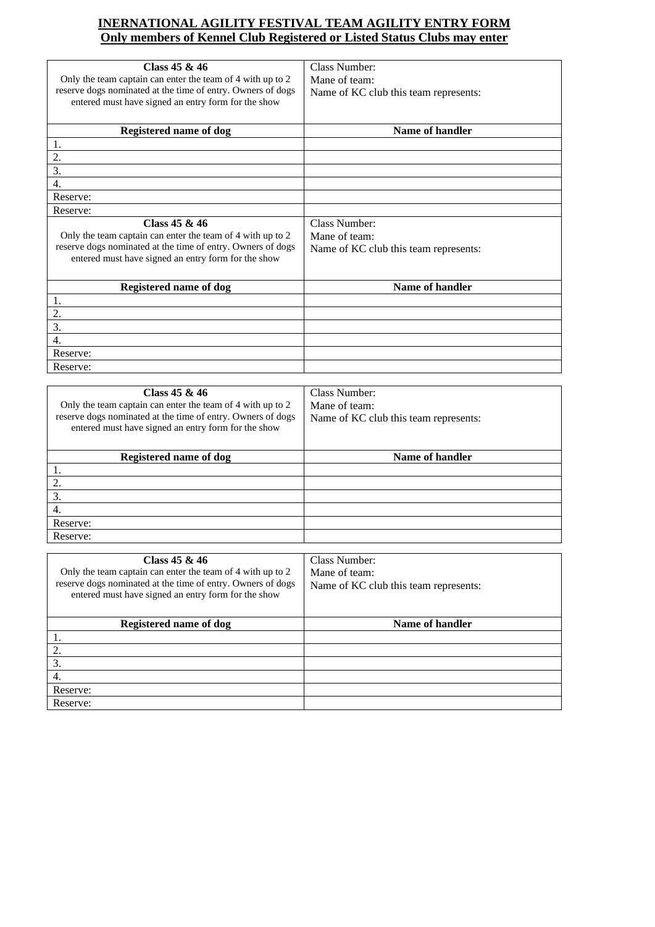### **INERNATIONAL AGILITY FESTIVAL TEAM AGILITY ENTRY FORM Only members of Kennel Club Registered or Listed Status Clubs may enter**

| Class $45 & 46$<br>Only the team captain can enter the team of 4 with up to 2<br>reserve dogs nominated at the time of entry. Owners of dogs<br>entered must have signed an entry form for the show | Class Number:<br>Mane of team:<br>Name of KC club this team represents: |
|-----------------------------------------------------------------------------------------------------------------------------------------------------------------------------------------------------|-------------------------------------------------------------------------|
| <b>Registered name of dog</b>                                                                                                                                                                       | Name of handler                                                         |
| 1.                                                                                                                                                                                                  |                                                                         |
| 2.                                                                                                                                                                                                  |                                                                         |
| 3.                                                                                                                                                                                                  |                                                                         |
| 4.                                                                                                                                                                                                  |                                                                         |
| Reserve:                                                                                                                                                                                            |                                                                         |
| Reserve:                                                                                                                                                                                            |                                                                         |
| Class $45 & 46$<br>Only the team captain can enter the team of 4 with up to 2<br>reserve dogs nominated at the time of entry. Owners of dogs<br>entered must have signed an entry form for the show | Class Number:<br>Mane of team:<br>Name of KC club this team represents: |
| <b>Registered name of dog</b>                                                                                                                                                                       | Name of handler                                                         |
| 1.                                                                                                                                                                                                  |                                                                         |
| 2.                                                                                                                                                                                                  |                                                                         |
| 3.                                                                                                                                                                                                  |                                                                         |
| $\overline{4}$ .                                                                                                                                                                                    |                                                                         |
| Reserve:                                                                                                                                                                                            |                                                                         |
| Reserve:                                                                                                                                                                                            |                                                                         |
|                                                                                                                                                                                                     |                                                                         |
| Class $45 & 46$                                                                                                                                                                                     | Class Number:                                                           |

| Class $45 & 46$<br>Only the team captain can enter the team of 4 with up to 2<br>reserve dogs nominated at the time of entry. Owners of dogs<br>entered must have signed an entry form for the show | Class Number:<br>Mane of team:<br>Name of KC club this team represents: |
|-----------------------------------------------------------------------------------------------------------------------------------------------------------------------------------------------------|-------------------------------------------------------------------------|
| Registered name of dog                                                                                                                                                                              | Name of handler                                                         |
|                                                                                                                                                                                                     |                                                                         |
|                                                                                                                                                                                                     |                                                                         |
| 3.                                                                                                                                                                                                  |                                                                         |
| 4.                                                                                                                                                                                                  |                                                                         |
| Reserve:                                                                                                                                                                                            |                                                                         |
| Reserve:                                                                                                                                                                                            |                                                                         |

| Class $45 & 46$<br>Only the team captain can enter the team of 4 with up to 2<br>reserve dogs nominated at the time of entry. Owners of dogs<br>entered must have signed an entry form for the show | Class Number:<br>Mane of team:<br>Name of KC club this team represents: |
|-----------------------------------------------------------------------------------------------------------------------------------------------------------------------------------------------------|-------------------------------------------------------------------------|
| Registered name of dog                                                                                                                                                                              | Name of handler                                                         |
|                                                                                                                                                                                                     |                                                                         |
| 2.                                                                                                                                                                                                  |                                                                         |
| 3.                                                                                                                                                                                                  |                                                                         |
| 4.                                                                                                                                                                                                  |                                                                         |
| Reserve:                                                                                                                                                                                            |                                                                         |
| Reserve:                                                                                                                                                                                            |                                                                         |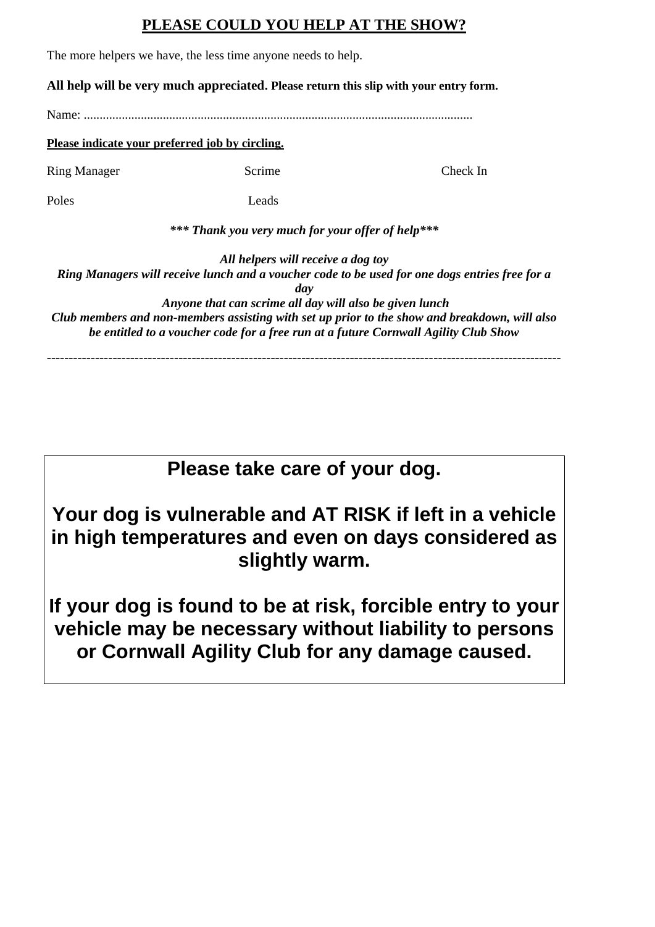## **PLEASE COULD YOU HELP AT THE SHOW?**

The more helpers we have, the less time anyone needs to help.

### **All help will be very much appreciated. Please return this slip with your entry form.**

Name<sup>.</sup>

### **Please indicate your preferred job by circling.**

Ring Manager Scrime Check In

Poles Leads

*\*\*\* Thank you very much for your offer of help\*\*\** 

*All helpers will receive a dog toy*

*Ring Managers will receive lunch and a voucher code to be used for one dogs entries free for a day Anyone that can scrime all day will also be given lunch Club members and non-members assisting with set up prior to the show and breakdown, will also* 

*be entitled to a voucher code for a free run at a future Cornwall Agility Club Show* 

---------------------------------------------------------------------------------------------------------------------

# **Please take care of your dog.**

**Your dog is vulnerable and AT RISK if left in a vehicle in high temperatures and even on days considered as slightly warm.**

**If your dog is found to be at risk, forcible entry to your vehicle may be necessary without liability to persons or Cornwall Agility Club for any damage caused.**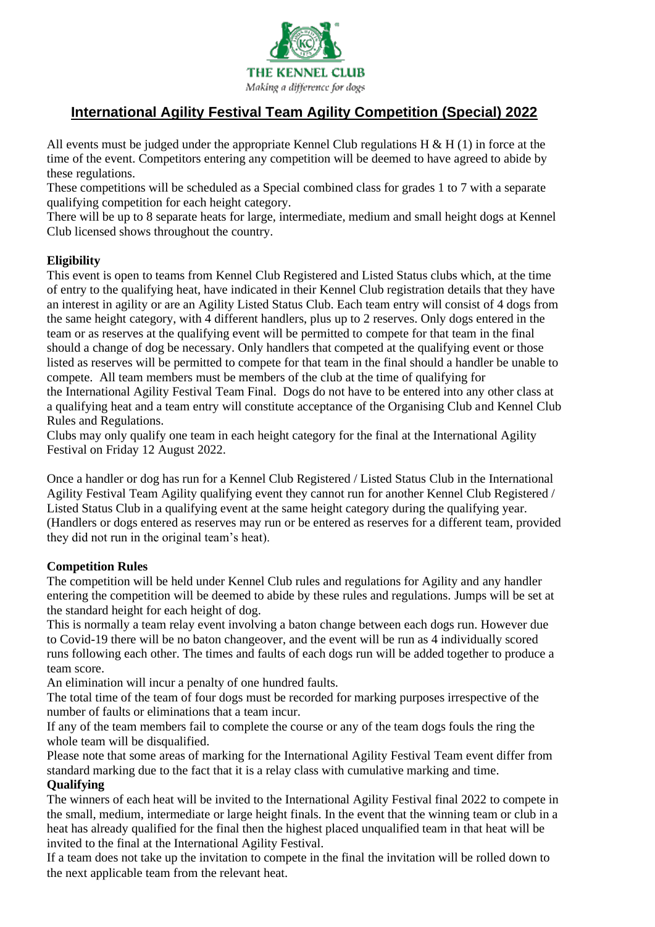

## **International Agility Festival Team Agility Competition (Special) 2022**

All events must be judged under the appropriate Kennel Club regulations  $H \& H(1)$  in force at the time of the event. Competitors entering any competition will be deemed to have agreed to abide by these regulations.

These competitions will be scheduled as a Special combined class for grades 1 to 7 with a separate qualifying competition for each height category.

There will be up to 8 separate heats for large, intermediate, medium and small height dogs at Kennel Club licensed shows throughout the country.

### **Eligibility**

This event is open to teams from Kennel Club Registered and Listed Status clubs which, at the time of entry to the qualifying heat, have indicated in their Kennel Club registration details that they have an interest in agility or are an Agility Listed Status Club. Each team entry will consist of 4 dogs from the same height category, with 4 different handlers, plus up to 2 reserves. Only dogs entered in the team or as reserves at the qualifying event will be permitted to compete for that team in the final should a change of dog be necessary. Only handlers that competed at the qualifying event or those listed as reserves will be permitted to compete for that team in the final should a handler be unable to compete. All team members must be members of the club at the time of qualifying for the International Agility Festival Team Final. Dogs do not have to be entered into any other class at a qualifying heat and a team entry will constitute acceptance of the Organising Club and Kennel Club Rules and Regulations.

Clubs may only qualify one team in each height category for the final at the International Agility Festival on Friday 12 August 2022.

Once a handler or dog has run for a Kennel Club Registered / Listed Status Club in the International Agility Festival Team Agility qualifying event they cannot run for another Kennel Club Registered / Listed Status Club in a qualifying event at the same height category during the qualifying year. (Handlers or dogs entered as reserves may run or be entered as reserves for a different team, provided they did not run in the original team's heat).

### **Competition Rules**

The competition will be held under Kennel Club rules and regulations for Agility and any handler entering the competition will be deemed to abide by these rules and regulations. Jumps will be set at the standard height for each height of dog.

This is normally a team relay event involving a baton change between each dogs run. However due to Covid-19 there will be no baton changeover, and the event will be run as 4 individually scored runs following each other. The times and faults of each dogs run will be added together to produce a team score.

An elimination will incur a penalty of one hundred faults.

The total time of the team of four dogs must be recorded for marking purposes irrespective of the number of faults or eliminations that a team incur.

If any of the team members fail to complete the course or any of the team dogs fouls the ring the whole team will be disqualified.

Please note that some areas of marking for the International Agility Festival Team event differ from standard marking due to the fact that it is a relay class with cumulative marking and time. **Qualifying**

The winners of each heat will be invited to the International Agility Festival final 2022 to compete in the small, medium, intermediate or large height finals. In the event that the winning team or club in a heat has already qualified for the final then the highest placed unqualified team in that heat will be invited to the final at the International Agility Festival.

If a team does not take up the invitation to compete in the final the invitation will be rolled down to the next applicable team from the relevant heat.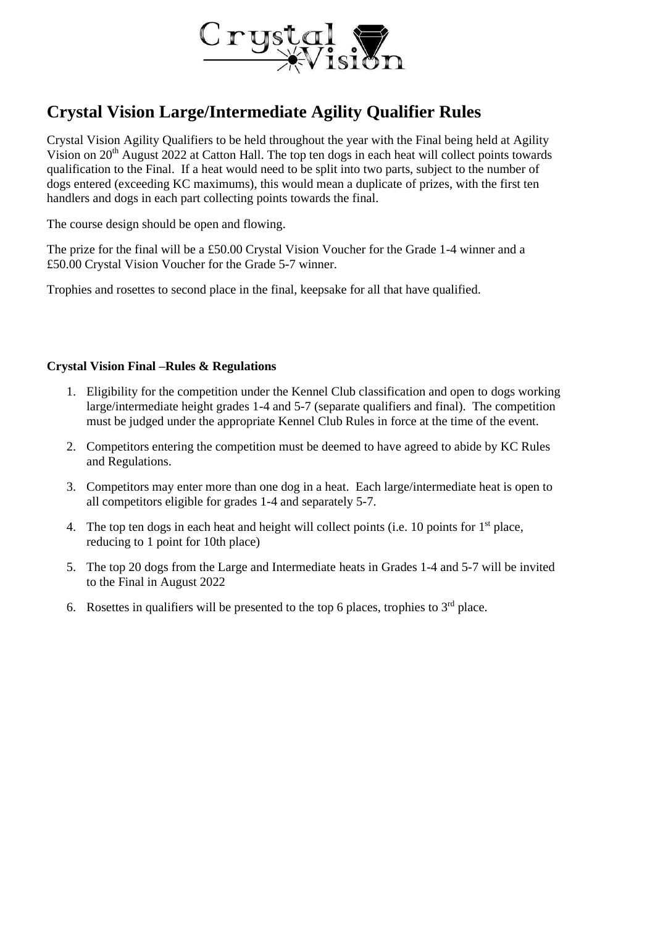

# **Crystal Vision Large/Intermediate Agility Qualifier Rules**

Crystal Vision Agility Qualifiers to be held throughout the year with the Final being held at Agility Vision on 20<sup>th</sup> August 2022 at Catton Hall. The top ten dogs in each heat will collect points towards qualification to the Final. If a heat would need to be split into two parts, subject to the number of dogs entered (exceeding KC maximums), this would mean a duplicate of prizes, with the first ten handlers and dogs in each part collecting points towards the final.

The course design should be open and flowing.

The prize for the final will be a £50.00 Crystal Vision Voucher for the Grade 1-4 winner and a £50.00 Crystal Vision Voucher for the Grade 5-7 winner.

Trophies and rosettes to second place in the final, keepsake for all that have qualified.

### **Crystal Vision Final –Rules & Regulations**

- 1. Eligibility for the competition under the Kennel Club classification and open to dogs working large/intermediate height grades 1-4 and 5-7 (separate qualifiers and final). The competition must be judged under the appropriate Kennel Club Rules in force at the time of the event.
- 2. Competitors entering the competition must be deemed to have agreed to abide by KC Rules and Regulations.
- 3. Competitors may enter more than one dog in a heat. Each large/intermediate heat is open to all competitors eligible for grades 1-4 and separately 5-7.
- 4. The top ten dogs in each heat and height will collect points (i.e. 10 points for  $1<sup>st</sup>$  place, reducing to 1 point for 10th place)
- 5. The top 20 dogs from the Large and Intermediate heats in Grades 1-4 and 5-7 will be invited to the Final in August 2022
- 6. Rosettes in qualifiers will be presented to the top 6 places, trophies to  $3<sup>rd</sup>$  place.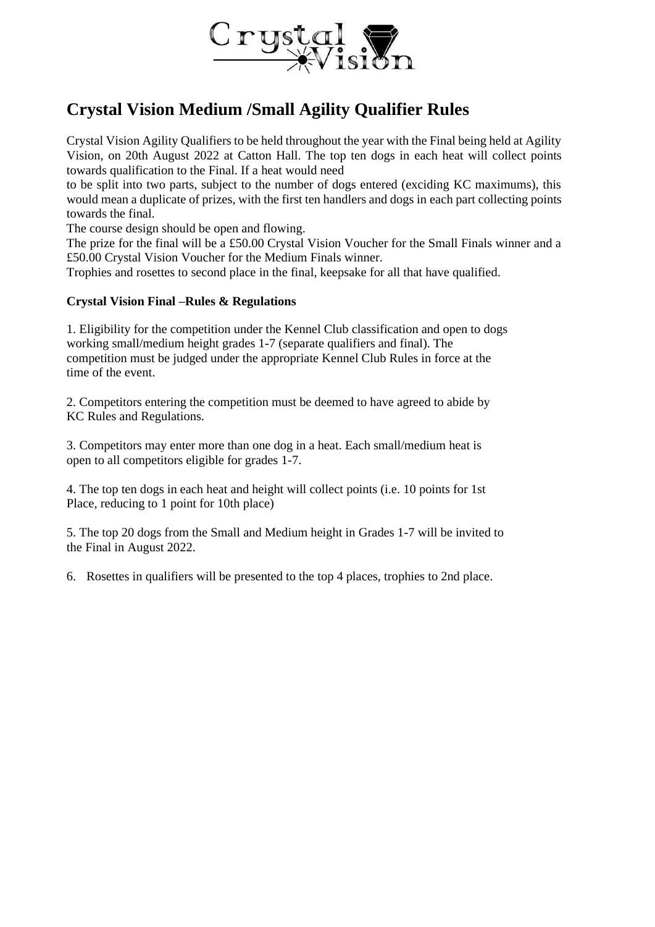

## **Crystal Vision Medium /Small Agility Qualifier Rules**

Crystal Vision Agility Qualifiers to be held throughout the year with the Final being held at Agility Vision, on 20th August 2022 at Catton Hall. The top ten dogs in each heat will collect points towards qualification to the Final. If a heat would need

to be split into two parts, subject to the number of dogs entered (exciding KC maximums), this would mean a duplicate of prizes, with the first ten handlers and dogs in each part collecting points towards the final.

The course design should be open and flowing.

The prize for the final will be a £50.00 Crystal Vision Voucher for the Small Finals winner and a £50.00 Crystal Vision Voucher for the Medium Finals winner.

Trophies and rosettes to second place in the final, keepsake for all that have qualified.

### **Crystal Vision Final –Rules & Regulations**

1. Eligibility for the competition under the Kennel Club classification and open to dogs working small/medium height grades 1-7 (separate qualifiers and final). The competition must be judged under the appropriate Kennel Club Rules in force at the time of the event.

2. Competitors entering the competition must be deemed to have agreed to abide by KC Rules and Regulations.

3. Competitors may enter more than one dog in a heat. Each small/medium heat is open to all competitors eligible for grades 1-7.

4. The top ten dogs in each heat and height will collect points (i.e. 10 points for 1st Place, reducing to 1 point for 10th place)

5. The top 20 dogs from the Small and Medium height in Grades 1-7 will be invited to the Final in August 2022.

6. Rosettes in qualifiers will be presented to the top 4 places, trophies to 2nd place.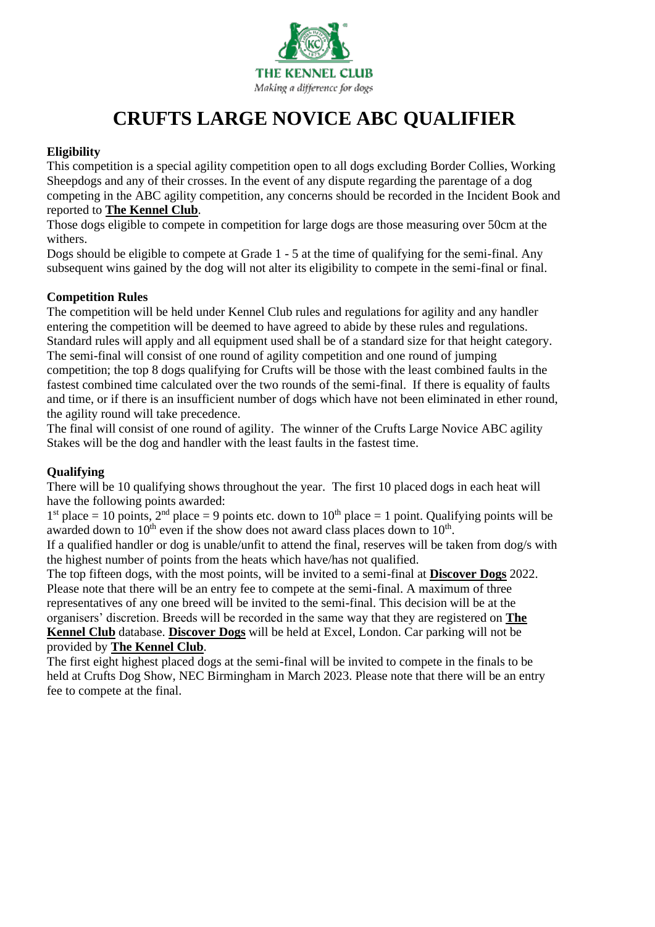

# **CRUFTS LARGE NOVICE ABC QUALIFIER**

### **Eligibility**

This competition is a special agility competition open to all dogs excluding Border Collies, Working Sheepdogs and any of their crosses. In the event of any dispute regarding the parentage of a dog competing in the ABC agility competition, any concerns should be recorded in the Incident Book and reported to **The [Kennel](https://www.thekennelclub.org.uk/) Club**.

Those dogs eligible to compete in competition for large dogs are those measuring over 50cm at the withers.

Dogs should be eligible to compete at Grade 1 - 5 at the time of qualifying for the semi-final. Any subsequent wins gained by the dog will not alter its eligibility to compete in the semi-final or final.

### **Competition Rules**

The competition will be held under Kennel Club rules and regulations for agility and any handler entering the competition will be deemed to have agreed to abide by these rules and regulations. Standard rules will apply and all equipment used shall be of a standard size for that height category. The semi-final will consist of one round of agility competition and one round of jumping competition; the top 8 dogs qualifying for Crufts will be those with the least combined faults in the fastest combined time calculated over the two rounds of the semi-final. If there is equality of faults and time, or if there is an insufficient number of dogs which have not been eliminated in ether round, the agility round will take precedence.

The final will consist of one round of agility. The winner of the Crufts Large Novice ABC agility Stakes will be the dog and handler with the least faults in the fastest time.

### **Qualifying**

There will be 10 qualifying shows throughout the year. The first 10 placed dogs in each heat will have the following points awarded:

 $1<sup>st</sup>$  place = 10 points,  $2<sup>nd</sup>$  place = 9 points etc. down to  $10<sup>th</sup>$  place = 1 point. Qualifying points will be awarded down to  $10^{th}$  even if the show does not award class places down to  $10^{th}$ .

If a qualified handler or dog is unable/unfit to attend the final, reserves will be taken from dog/s with the highest number of points from the heats which have/has not qualified.

The top fifteen dogs, with the most points, will be invited to a semi-final at **[Discover](https://www.discoverdogs.org.uk/) Dogs** 2022. Please note that there will be an entry fee to compete at the semi-final. A maximum of three representatives of any one breed will be invited to the semi-final. This decision will be at the organisers' discretion. Breeds will be recorded in the same way that they are registered on **[The](https://www.thekennelclub.org.uk/) [Kennel](https://www.thekennelclub.org.uk/) Club** database. **[Discover](https://www.discoverdogs.org.uk/) Dogs** will be held at Excel, London. Car parking will not be provided by **The [Kennel](https://www.thekennelclub.org.uk/) Club**.

The first eight highest placed dogs at the semi-final will be invited to compete in the finals to be held at Crufts Dog Show, NEC Birmingham in March 2023. Please note that there will be an entry fee to compete at the final.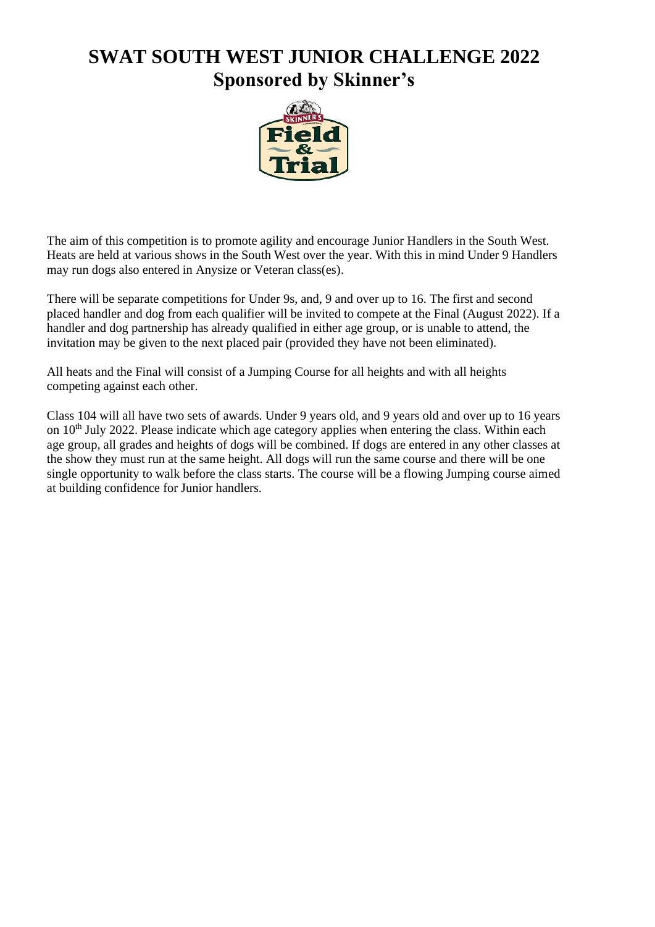# **SWAT SOUTH WEST JUNIOR CHALLENGE 2022 Sponsored by Skinner's**



The aim of this competition is to promote agility and encourage Junior Handlers in the South West. Heats are held at various shows in the South West over the year. With this in mind Under 9 Handlers may run dogs also entered in Anysize or Veteran class(es).

There will be separate competitions for Under 9s, and, 9 and over up to 16. The first and second placed handler and dog from each qualifier will be invited to compete at the Final (August 2022). If a handler and dog partnership has already qualified in either age group, or is unable to attend, the invitation may be given to the next placed pair (provided they have not been eliminated).

All heats and the Final will consist of a Jumping Course for all heights and with all heights competing against each other.

Class 104 will all have two sets of awards. Under 9 years old, and 9 years old and over up to 16 years on  $10<sup>th</sup>$  July 2022. Please indicate which age category applies when entering the class. Within each age group, all grades and heights of dogs will be combined. If dogs are entered in any other classes at the show they must run at the same height. All dogs will run the same course and there will be one single opportunity to walk before the class starts. The course will be a flowing Jumping course aimed at building confidence for Junior handlers.